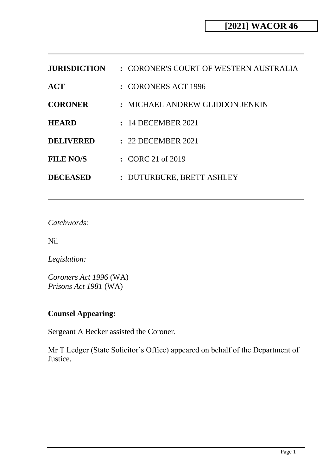| <b>JURISDICTION</b> | : CORONER'S COURT OF WESTERN AUSTRALIA |
|---------------------|----------------------------------------|
| ACT                 | : CORONERS ACT 1996                    |
| <b>CORONER</b>      | : MICHAEL ANDREW GLIDDON JENKIN        |
| <b>HEARD</b>        | : 14 DECEMBER 2021                     |
| <b>DELIVERED</b>    | : 22 DECEMBER 2021                     |
| <b>FILE NO/S</b>    | $\therefore$ CORC 21 of 2019           |
| <b>DECEASED</b>     | : DUTURBURE, BRETT ASHLEY              |

*Catchwords:*

Nil

*Legislation:*

*Coroners Act 1996* (WA) *Prisons Act 1981* (WA)

# **Counsel Appearing:**

Sergeant A Becker assisted the Coroner.

Mr T Ledger (State Solicitor's Office) appeared on behalf of the Department of Justice.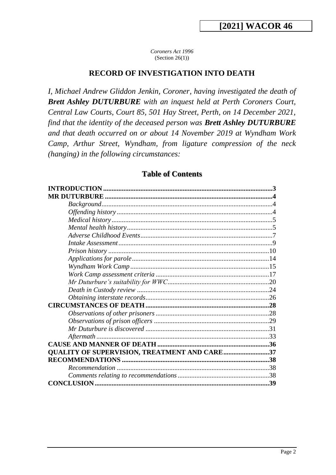*Coroners Act 1996* (Section  $26(1)$ )

#### **RECORD OF INVESTIGATION INTO DEATH**

*I, Michael Andrew Gliddon Jenkin, Coroner, having investigated the death of Brett Ashley DUTURBURE with an inquest held at Perth Coroners Court, Central Law Courts, Court 85, 501 Hay Street, Perth, on 14 December 2021, find that the identity of the deceased person was Brett Ashley DUTURBURE and that death occurred on or about 14 November 2019 at Wyndham Work Camp, Arthur Street, Wyndham, from ligature compression of the neck (hanging) in the following circumstances:*

#### **Table of Contents**

|                                                     | $\mathbf 3$ |
|-----------------------------------------------------|-------------|
|                                                     |             |
|                                                     |             |
|                                                     |             |
|                                                     |             |
|                                                     |             |
|                                                     |             |
|                                                     |             |
|                                                     |             |
|                                                     |             |
|                                                     |             |
|                                                     |             |
|                                                     |             |
|                                                     |             |
|                                                     |             |
|                                                     |             |
|                                                     |             |
|                                                     |             |
|                                                     |             |
|                                                     |             |
|                                                     |             |
| <b>QUALITY OF SUPERVISION, TREATMENT AND CARE37</b> |             |
|                                                     |             |
|                                                     |             |
|                                                     |             |
|                                                     |             |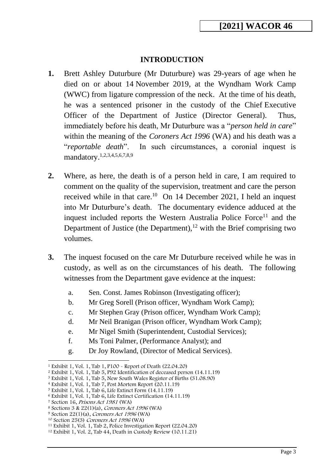## **INTRODUCTION**

- <span id="page-2-0"></span>**1.** Brett Ashley Duturbure (Mr Duturbure) was 29-years of age when he died on or about 14 November 2019, at the Wyndham Work Camp (WWC) from ligature compression of the neck. At the time of his death, he was a sentenced prisoner in the custody of the Chief Executive Officer of the Department of Justice (Director General). Thus, immediately before his death, Mr Duturbure was a "*person held in care*" within the meaning of the *Coroners Act 1996* (WA) and his death was a "*reportable death*". In such circumstances, a coronial inquest is mandatory.1,2,3,4,5,6,7,8,9
- **2.** Where, as here, the death is of a person held in care, I am required to comment on the quality of the supervision, treatment and care the person received while in that care.<sup>10</sup> On 14 December 2021, I held an inquest into Mr Duturbure's death. The documentary evidence adduced at the inquest included reports the Western Australia Police Force<sup>11</sup> and the Department of Justice (the Department), $12$  with the Brief comprising two volumes.
- **3.** The inquest focused on the care Mr Duturbure received while he was in custody, as well as on the circumstances of his death. The following witnesses from the Department gave evidence at the inquest:
	- a. Sen. Const. James Robinson (Investigating officer);
	- b. Mr Greg Sorell (Prison officer, Wyndham Work Camp);
	- c. Mr Stephen Gray (Prison officer, Wyndham Work Camp);
	- d. Mr Neil Branigan (Prison officer, Wyndham Work Camp);
	- e. Mr Nigel Smith (Superintendent, Custodial Services);
	- f. Ms Toni Palmer, (Performance Analyst); and
	- g. Dr Joy Rowland, (Director of Medical Services).

<sup>1</sup> Exhibit 1, Vol. 1, Tab 1, P100 - Report of Death (22.04.20)

<sup>2</sup> Exhibit 1, Vol. 1, Tab 5, P92 Identification of deceased person (14.11.19)

<sup>3</sup> Exhibit 1, Vol. 1, Tab 5, New South Wales Register of Births (31.08.90)

<sup>4</sup> Exhibit 1, Vol. 1, Tab 7, Post Mortem Report (20.11.19)

<sup>5</sup> Exhibit 1, Vol. 1, Tab 6, Life Extinct Form (14.11.19) <sup>6</sup> Exhibit 1, Vol. 1, Tab 6, Life Extinct Certification (14.11.19)

<sup>7</sup> Section 16, Prisons Act 1981 (WA)

<sup>8</sup> Sections 3 & 22(1)(a), Coroners Act 1996 (WA)

<sup>9</sup> Section 22(1)(a), Coroners Act 1996 (WA)

<sup>10</sup> Section 25(3) Coroners Act 1996 (WA)

<sup>11</sup> Exhibit 1, Vol. 1, Tab 2, Police Investigation Report (22.04.20)

<sup>12</sup> Exhibit 1, Vol. 2, Tab 44, Death in Custody Review (10.11.21)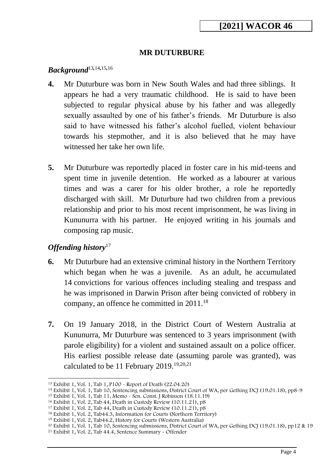## **MR DUTURBURE**

## <span id="page-3-1"></span><span id="page-3-0"></span>*Background*<sup>13</sup>*,*14*,*15*,*<sup>16</sup>

- **4.** Mr Duturbure was born in New South Wales and had three siblings. It appears he had a very traumatic childhood. He is said to have been subjected to regular physical abuse by his father and was allegedly sexually assaulted by one of his father's friends. Mr Duturbure is also said to have witnessed his father's alcohol fuelled, violent behaviour towards his stepmother, and it is also believed that he may have witnessed her take her own life.
- **5.** Mr Duturbure was reportedly placed in foster care in his mid-teens and spent time in juvenile detention. He worked as a labourer at various times and was a carer for his older brother, a role he reportedly discharged with skill. Mr Duturbure had two children from a previous relationship and prior to his most recent imprisonment, he was living in Kununurra with his partner. He enjoyed writing in his journals and composing rap music.

## <span id="page-3-2"></span>*Offending history*<sup>17</sup>

- **6.** Mr Duturbure had an extensive criminal history in the Northern Territory which began when he was a juvenile. As an adult, he accumulated 14 convictions for various offences including stealing and trespass and he was imprisoned in Darwin Prison after being convicted of robbery in company, an offence he committed in  $2011$ .<sup>18</sup>
- **7.** On 19 January 2018, in the District Court of Western Australia at Kununurra, Mr Duturbure was sentenced to 3 years imprisonment (with parole eligibility) for a violent and sustained assault on a police officer. His earliest possible release date (assuming parole was granted), was calculated to be 11 February 2019.19,20*,*<sup>21</sup>

<sup>13</sup> Exhibit 1, Vol. 1, Tab 1, P100 - Report of Death (22.04.20)

<sup>14</sup> Exhibit 1, Vol. 1, Tab 10, Sentencing submissions, District Court of WA, per Gething DCJ (19.01.18), pp8-9

<sup>15</sup> Exhibit 1, Vol. 1, Tab 11, Memo - Sen. Const. J Robinson (18.11.19)

<sup>16</sup> Exhibit 1, Vol. 2, Tab 44, Death in Custody Review (10.11.21), p8

<sup>17</sup> Exhibit 1, Vol. 2, Tab 44, Death in Custody Review (10.11.21), p8

<sup>18</sup> Exhibit 1, Vol. 2, Tab44.3, Information for Courts (Northern Territory)

<sup>19</sup> Exhibit 1, Vol. 2, Tab44.2, History for Courts (Western Australia)

<sup>20</sup> Exhibit 1, Vol. 1, Tab 10, Sentencing submissions, District Court of WA, per Gething DCJ (19.01.18), pp12 & 19

<sup>21</sup> Exhibit 1, Vol. 2, Tab 44.4, Sentence Summary - Offender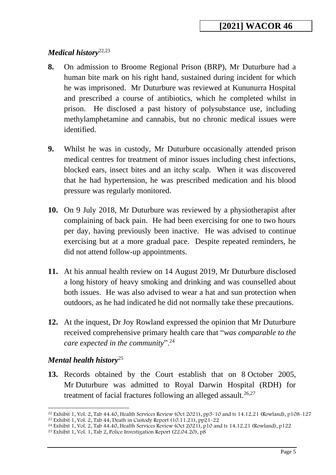# <span id="page-4-0"></span>*Medical history*22,23

- **8.** On admission to Broome Regional Prison (BRP), Mr Duturbure had a human bite mark on his right hand, sustained during incident for which he was imprisoned. Mr Duturbure was reviewed at Kununurra Hospital and prescribed a course of antibiotics, which he completed whilst in prison. He disclosed a past history of polysubstance use, including methylamphetamine and cannabis, but no chronic medical issues were identified.
- **9.** Whilst he was in custody, Mr Duturbure occasionally attended prison medical centres for treatment of minor issues including chest infections, blocked ears, insect bites and an itchy scalp. When it was discovered that he had hypertension, he was prescribed medication and his blood pressure was regularly monitored.
- **10.** On 9 July 2018, Mr Duturbure was reviewed by a physiotherapist after complaining of back pain. He had been exercising for one to two hours per day, having previously been inactive. He was advised to continue exercising but at a more gradual pace. Despite repeated reminders, he did not attend follow-up appointments.
- **11.** At his annual health review on 14 August 2019, Mr Duturbure disclosed a long history of heavy smoking and drinking and was counselled about both issues. He was also advised to wear a hat and sun protection when outdoors, as he had indicated he did not normally take these precautions.
- **12.** At the inquest, Dr Joy Rowland expressed the opinion that Mr Duturbure received comprehensive primary health care that "*was comparable to the care expected in the community*".<sup>24</sup>

## <span id="page-4-1"></span>*Mental health history*<sup>25</sup>

**13.** Records obtained by the Court establish that on 8 October 2005, Mr Duturbure was admitted to Royal Darwin Hospital (RDH) for treatment of facial fractures following an alleged assault.<sup>26,27</sup>

<sup>&</sup>lt;sup>22</sup> Exhibit 1, Vol. 2, Tab 44.40, Health Services Review (Oct 2021), pp3-10 and ts 14.12.21 (Rowland), p108-127

<sup>23</sup> Exhibit 1, Vol. 2, Tab 44, Death in Custody Report (10.11.21), pp21-22

<sup>&</sup>lt;sup>24</sup> Exhibit 1, Vol. 2, Tab 44.40, Health Services Review (Oct 2021), p10 and ts 14.12.21 (Rowland), p122

<sup>25</sup> Exhibit 1, Vol. 1, Tab 2, Police Investigation Report (22.04.20), p8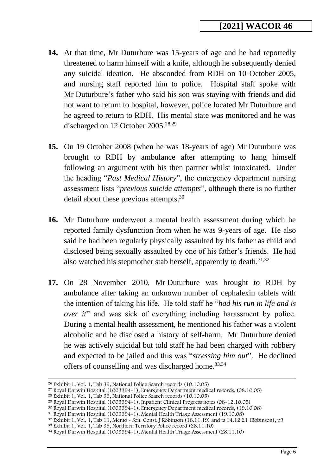- **14.** At that time, Mr Duturbure was 15-years of age and he had reportedly threatened to harm himself with a knife, although he subsequently denied any suicidal ideation. He absconded from RDH on 10 October 2005, and nursing staff reported him to police. Hospital staff spoke with Mr Duturbure's father who said his son was staying with friends and did not want to return to hospital, however, police located Mr Duturbure and he agreed to return to RDH. His mental state was monitored and he was discharged on 12 October 2005.<sup>28,29</sup>
- **15.** On 19 October 2008 (when he was 18-years of age) Mr Duturbure was brought to RDH by ambulance after attempting to hang himself following an argument with his then partner whilst intoxicated. Under the heading "*Past Medical History*", the emergency department nursing assessment lists "*previous suicide attempts*", although there is no further detail about these previous attempts.<sup>30</sup>
- **16.** Mr Duturbure underwent a mental health assessment during which he reported family dysfunction from when he was 9-years of age. He also said he had been regularly physically assaulted by his father as child and disclosed being sexually assaulted by one of his father's friends. He had also watched his stepmother stab herself, apparently to death.<sup>31,32</sup>
- **17.** On 28 November 2010, Mr Duturbure was brought to RDH by ambulance after taking an unknown number of cephalexin tablets with the intention of taking his life. He told staff he "*had his run in life and is over it*" and was sick of everything including harassment by police. During a mental health assessment, he mentioned his father was a violent alcoholic and he disclosed a history of self-harm. Mr Duturbure denied he was actively suicidal but told staff he had been charged with robbery and expected to be jailed and this was "*stressing him out*". He declined offers of counselling and was discharged home.<sup>33,34</sup>

<sup>26</sup> Exhibit 1, Vol. 1, Tab 39, National Police Search records (10.10.05)

<sup>27</sup> Royal Darwin Hospital (1003394-1), Emergency Department medical records, (08.10.05)

<sup>28</sup> Exhibit 1, Vol. 1, Tab 39, National Police Search records (10.10.05)

<sup>29</sup> Royal Darwin Hospital (1003394-1), Inpatient Clinical Progress notes (08-12.10.05)

<sup>30</sup> Royal Darwin Hospital (1003394-1), Emergency Department medical records, (19.10.08)

<sup>31</sup> Royal Darwin Hospital (1003394-1), Mental Health Triage Assessment (19.10.08)

 $32$  Exhibit 1, Vol. 1, Tab 11, Memo - Sen. Const. J Robinson (18.11.19) and ts 14.12.21 (Robinson), p9

<sup>33</sup> Exhibit 1, Vol. 1, Tab 39, Northern Territory Police record (28.11.10)

<sup>34</sup> Royal Darwin Hospital (1003394-1), Mental Health Triage Assessment (28.11.10)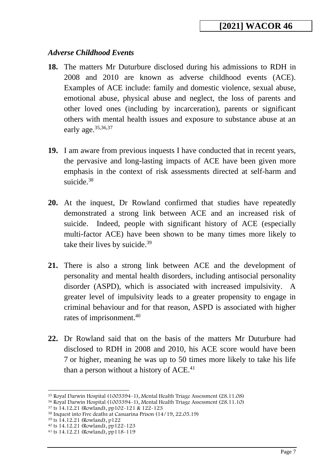### <span id="page-6-0"></span>*Adverse Childhood Events*

- **18.** The matters Mr Duturbure disclosed during his admissions to RDH in 2008 and 2010 are known as adverse childhood events (ACE). Examples of ACE include: family and domestic violence, sexual abuse, emotional abuse, physical abuse and neglect, the loss of parents and other loved ones (including by incarceration), parents or significant others with mental health issues and exposure to substance abuse at an early age.<sup>35,36,37</sup>
- **19.** I am aware from previous inquests I have conducted that in recent years, the pervasive and long-lasting impacts of ACE have been given more emphasis in the context of risk assessments directed at self-harm and suicide.<sup>38</sup>
- **20.** At the inquest, Dr Rowland confirmed that studies have repeatedly demonstrated a strong link between ACE and an increased risk of suicide. Indeed, people with significant history of ACE (especially multi-factor ACE) have been shown to be many times more likely to take their lives by suicide.<sup>39</sup>
- **21.** There is also a strong link between ACE and the development of personality and mental health disorders, including antisocial personality disorder (ASPD), which is associated with increased impulsivity. A greater level of impulsivity leads to a greater propensity to engage in criminal behaviour and for that reason, ASPD is associated with higher rates of imprisonment. 40
- **22.** Dr Rowland said that on the basis of the matters Mr Duturbure had disclosed to RDH in 2008 and 2010, his ACE score would have been 7 or higher, meaning he was up to 50 times more likely to take his life than a person without a history of  $ACE<sup>41</sup>$

<sup>39</sup> ts 14.12.21 (Rowland), p122

<sup>35</sup> Royal Darwin Hospital (1003394-1), Mental Health Triage Assessment (28.11.08)

<sup>36</sup> Royal Darwin Hospital (1003394-1), Mental Health Triage Assessment (28.11.10)

<sup>37</sup> ts 14.12.21 (Rowland), pp102-121 & 122-123

<sup>38</sup> Inquest into Five deaths at Casuarina Prison (14/19, 22.05.19)

<sup>40</sup> ts 14.12.21 (Rowland), pp122-123

<sup>41</sup> ts 14.12.21 (Rowland), pp118-119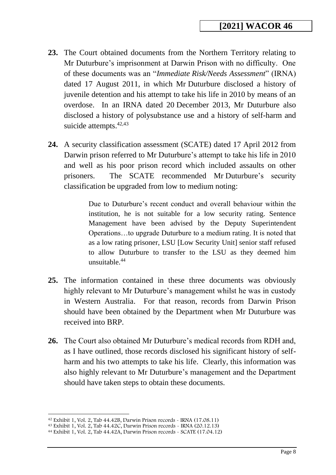- **23.** The Court obtained documents from the Northern Territory relating to Mr Duturbure's imprisonment at Darwin Prison with no difficulty. One of these documents was an "*Immediate Risk/Needs Assessment*" (IRNA) dated 17 August 2011, in which Mr Duturbure disclosed a history of juvenile detention and his attempt to take his life in 2010 by means of an overdose. In an IRNA dated 20 December 2013, Mr Duturbure also disclosed a history of polysubstance use and a history of self-harm and suicide attempts.<sup>42,43</sup>
- **24.** A security classification assessment (SCATE) dated 17 April 2012 from Darwin prison referred to Mr Duturbure's attempt to take his life in 2010 and well as his poor prison record which included assaults on other prisoners. The SCATE recommended Mr Duturbure's security classification be upgraded from low to medium noting:

Due to Duturbure's recent conduct and overall behaviour within the institution, he is not suitable for a low security rating. Sentence Management have been advised by the Deputy Superintendent Operations…to upgrade Duturbure to a medium rating. It is noted that as a low rating prisoner, LSU [Low Security Unit] senior staff refused to allow Duturbure to transfer to the LSU as they deemed him unsuitable.<sup>44</sup>

- **25.** The information contained in these three documents was obviously highly relevant to Mr Duturbure's management whilst he was in custody in Western Australia. For that reason, records from Darwin Prison should have been obtained by the Department when Mr Duturbure was received into BRP.
- **26.** The Court also obtained Mr Duturbure's medical records from RDH and, as I have outlined, those records disclosed his significant history of selfharm and his two attempts to take his life. Clearly, this information was also highly relevant to Mr Duturbure's management and the Department should have taken steps to obtain these documents.

 $42$  Exhibit 1, Vol. 2, Tab  $44.42B$ , Darwin Prison records - IRNA (17.08.11)

<sup>43</sup> Exhibit 1, Vol. 2, Tab 44.42C, Darwin Prison records - IRNA (20.12.13)

<sup>44</sup> Exhibit 1, Vol. 2, Tab 44.42A, Darwin Prison records - SCATE (17.04.12)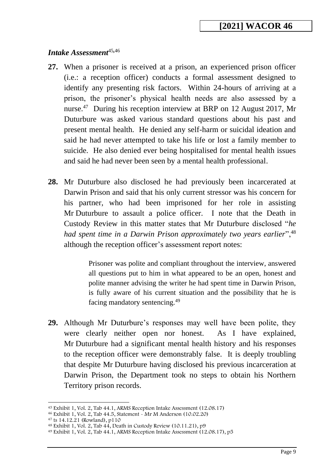### <span id="page-8-0"></span>*Intake Assessment*<sup>45</sup>*,*<sup>46</sup>

- **27.** When a prisoner is received at a prison, an experienced prison officer (i.e.: a reception officer) conducts a formal assessment designed to identify any presenting risk factors. Within 24-hours of arriving at a prison, the prisoner's physical health needs are also assessed by a nurse.<sup>47</sup> During his reception interview at BRP on 12 August 2017, Mr Duturbure was asked various standard questions about his past and present mental health. He denied any self-harm or suicidal ideation and said he had never attempted to take his life or lost a family member to suicide. He also denied ever being hospitalised for mental health issues and said he had never been seen by a mental health professional.
- **28.** Mr Duturbure also disclosed he had previously been incarcerated at Darwin Prison and said that his only current stressor was his concern for his partner, who had been imprisoned for her role in assisting Mr Duturbure to assault a police officer. I note that the Death in Custody Review in this matter states that Mr Duturbure disclosed "*he had spent time in a Darwin Prison approximately two years earlier*",<sup>48</sup> although the reception officer's assessment report notes:

Prisoner was polite and compliant throughout the interview, answered all questions put to him in what appeared to be an open, honest and polite manner advising the writer he had spent time in Darwin Prison, is fully aware of his current situation and the possibility that he is facing mandatory sentencing.<sup>49</sup>

**29.** Although Mr Duturbure's responses may well have been polite, they were clearly neither open nor honest. As I have explained, Mr Duturbure had a significant mental health history and his responses to the reception officer were demonstrably false. It is deeply troubling that despite Mr Duturbure having disclosed his previous incarceration at Darwin Prison, the Department took no steps to obtain his Northern Territory prison records.

<sup>45</sup> Exhibit 1, Vol. 2, Tab 44.1, ARMS Reception Intake Assessment (12.08.17)

<sup>46</sup> Exhibit 1, Vol. 2, Tab 44.5, Statement - Mr M Anderson (10.02.20)

 $47$  ts 14.12.21 (Rowland), p110

 $48$  Exhibit 1, Vol. 2, Tab  $44$ , Death in Custody Review (10.11.21), p9

<sup>49</sup> Exhibit 1, Vol. 2, Tab 44.1, ARMS Reception Intake Assessment (12.08.17), p5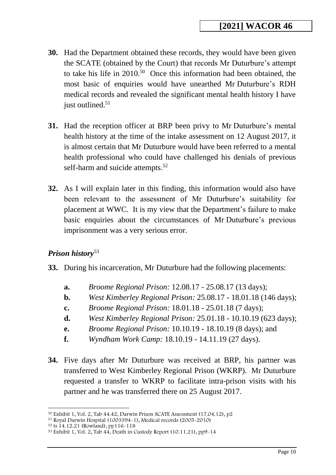- **30.** Had the Department obtained these records, they would have been given the SCATE (obtained by the Court) that records Mr Duturbure's attempt to take his life in 2010.<sup>50</sup> Once this information had been obtained, the most basic of enquiries would have unearthed Mr Duturbure's RDH medical records and revealed the significant mental health history I have just outlined. $51$
- **31.** Had the reception officer at BRP been privy to Mr Duturbure's mental health history at the time of the intake assessment on 12 August 2017, it is almost certain that Mr Duturbure would have been referred to a mental health professional who could have challenged his denials of previous self-harm and suicide attempts.<sup>52</sup>
- **32.** As I will explain later in this finding, this information would also have been relevant to the assessment of Mr Duturbure's suitability for placement at WWC. It is my view that the Department's failure to make basic enquiries about the circumstances of Mr Duturbure's previous imprisonment was a very serious error.

# <span id="page-9-0"></span>*Prison history*<sup>53</sup>

- **33.** During his incarceration, Mr Duturbure had the following placements:
	- **a.** *Broome Regional Prison:* 12.08.17 25.08.17 (13 days);
	- **b.** *West Kimberley Regional Prison:* 25.08.17 18.01.18 (146 days);
	- **c.** *Broome Regional Prison:* 18.01.18 25.01.18 (7 days);
	- **d.** *West Kimberley Regional Prison:* 25.01.18 10.10.19 (623 days);
	- **e.** *Broome Regional Prison:* 10.10.19 18.10.19 (8 days); and
	- **f.** *Wyndham Work Camp:* 18.10.19 14.11.19 (27 days).
- **34.** Five days after Mr Duturbure was received at BRP, his partner was transferred to West Kimberley Regional Prison (WKRP). Mr Duturbure requested a transfer to WKRP to facilitate intra-prison visits with his partner and he was transferred there on 25 August 2017.

<sup>50</sup> Exhibit 1, Vol. 2, Tab 44.42, Darwin Prison SCATE Assessment (17.04.12), p2

<sup>51</sup> Royal Darwin Hospital (1003394-1), Medical records (2005-2010)

<sup>52</sup> ts 14.12.21 (Rowland), pp116-118

<sup>53</sup> Exhibit 1, Vol. 2, Tab 44, Death in Custody Report (10.11.21), pp9-14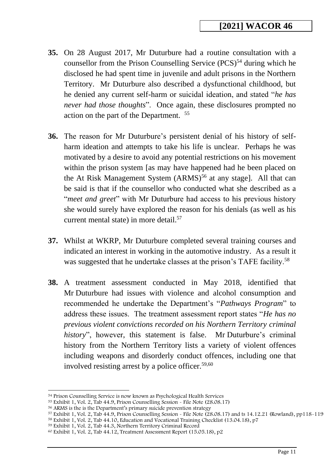- **35.** On 28 August 2017, Mr Duturbure had a routine consultation with a counsellor from the Prison Counselling Service  $(PCS)^{54}$  during which he disclosed he had spent time in juvenile and adult prisons in the Northern Territory. Mr Duturbure also described a dysfunctional childhood, but he denied any current self-harm or suicidal ideation, and stated "*he has never had those thoughts*". Once again, these disclosures prompted no action on the part of the Department. <sup>55</sup>
- **36.** The reason for Mr Duturbure's persistent denial of his history of selfharm ideation and attempts to take his life is unclear. Perhaps he was motivated by a desire to avoid any potential restrictions on his movement within the prison system [as may have happened had he been placed on the At Risk Management System  $(ARMS)^{56}$  at any stage]. All that can be said is that if the counsellor who conducted what she described as a "*meet and greet*" with Mr Duturbure had access to his previous history she would surely have explored the reason for his denials (as well as his current mental state) in more detail.<sup>57</sup>
- **37.** Whilst at WKRP, Mr Duturbure completed several training courses and indicated an interest in working in the automotive industry. As a result it was suggested that he undertake classes at the prison's TAFE facility.<sup>58</sup>
- **38.** A treatment assessment conducted in May 2018, identified that Mr Duturbure had issues with violence and alcohol consumption and recommended he undertake the Department's "*Pathways Program*" to address these issues. The treatment assessment report states "*He has no previous violent convictions recorded on his Northern Territory criminal history*", however, this statement is false. Mr Duturbure's criminal history from the Northern Territory lists a variety of violent offences including weapons and disorderly conduct offences, including one that involved resisting arrest by a police officer.<sup>59,60</sup>

<sup>54</sup> Prison Counselling Service is now known as Psychological Health Services

<sup>55</sup> Exhibit 1, Vol. 2, Tab 44.9, Prison Counselling Session - File Note (28.08.17)

<sup>56</sup> ARMS is the is the Department's primary suicide prevention strategy

<sup>&</sup>lt;sup>57</sup> Exhibit 1, Vol. 2, Tab 44.9, Prison Counselling Session - File Note (28.08.17) and ts 14.12.21 (Rowland), pp118-119

<sup>58</sup> Exhibit 1, Vol. 2, Tab 44.10, Education and Vocational Training Checklist (13.04.18), p7

<sup>59</sup> Exhibit 1, Vol. 2, Tab 44.3, Northern Territory Criminal Record

 $60$  Exhibit 1, Vol. 2, Tab 44.12, Treatment Assessment Report (15.05.18), p2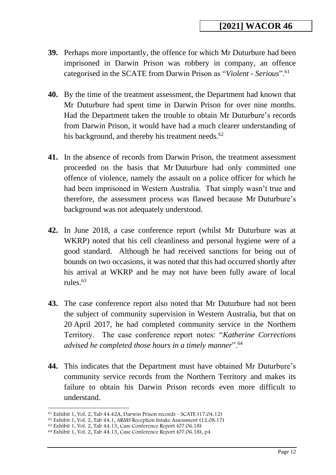- **39.** Perhaps more importantly, the offence for which Mr Duturbure had been imprisoned in Darwin Prison was robbery in company, an offence categorised in the SCATE from Darwin Prison as "*Violent - Serious*".<sup>61</sup>
- **40.** By the time of the treatment assessment, the Department had known that Mr Duturbure had spent time in Darwin Prison for over nine months. Had the Department taken the trouble to obtain Mr Duturbure's records from Darwin Prison, it would have had a much clearer understanding of his background, and thereby his treatment needs.<sup>62</sup>
- **41.** In the absence of records from Darwin Prison, the treatment assessment proceeded on the basis that Mr Duturbure had only committed one offence of violence, namely the assault on a police officer for which he had been imprisoned in Western Australia. That simply wasn't true and therefore, the assessment process was flawed because Mr Duturbure's background was not adequately understood.
- **42.** In June 2018, a case conference report (whilst Mr Duturbure was at WKRP) noted that his cell cleanliness and personal hygiene were of a good standard. Although he had received sanctions for being out of bounds on two occasions, it was noted that this had occurred shortly after his arrival at WKRP and he may not have been fully aware of local rules.<sup>63</sup>
- **43.** The case conference report also noted that Mr Duturbure had not been the subject of community supervision in Western Australia, but that on 20 April 2017, he had completed community service in the Northern Territory. The case conference report notes: "*Katherine Corrections advised he completed those hours in a timely manner*".<sup>64</sup>
- **44.** This indicates that the Department must have obtained Mr Duturbure's community service records from the Northern Territory and makes its failure to obtain his Darwin Prison records even more difficult to understand.

<sup>61</sup> Exhibit 1, Vol. 2, Tab 44.42A, Darwin Prison records - SCATE (17.04.12)

 $62$  Exhibit 1, Vol. 2, Tab 44.1, ARMS Reception Intake Assessment (12.08.17)

<sup>63</sup> Exhibit 1, Vol. 2, Tab 44.13, Case Conference Report (07.06.18)

<sup>64</sup> Exhibit 1, Vol. 2, Tab 44.13, Case Conference Report (07.06.18), p4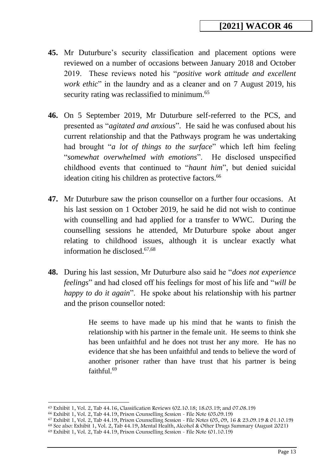- **45.** Mr Duturbure's security classification and placement options were reviewed on a number of occasions between January 2018 and October 2019. These reviews noted his "*positive work attitude and excellent work ethic*" in the laundry and as a cleaner and on 7 August 2019, his security rating was reclassified to minimum.<sup>65</sup>
- **46.** On 5 September 2019, Mr Duturbure self-referred to the PCS, and presented as "*agitated and anxious*". He said he was confused about his current relationship and that the Pathways program he was undertaking had brought "*a lot of things to the surface*" which left him feeling "*somewhat overwhelmed with emotions*". He disclosed unspecified childhood events that continued to "*haunt him*", but denied suicidal ideation citing his children as protective factors.<sup>66</sup>
- **47.** Mr Duturbure saw the prison counsellor on a further four occasions. At his last session on 1 October 2019, he said he did not wish to continue with counselling and had applied for a transfer to WWC. During the counselling sessions he attended, Mr Duturbure spoke about anger relating to childhood issues, although it is unclear exactly what information he disclosed.67,68
- **48.** During his last session, Mr Duturbure also said he "*does not experience feelings*" and had closed off his feelings for most of his life and "*will be happy to do it again*". He spoke about his relationship with his partner and the prison counsellor noted:

He seems to have made up his mind that he wants to finish the relationship with his partner in the female unit. He seems to think she has been unfaithful and he does not trust her any more. He has no evidence that she has been unfaithful and tends to believe the word of another prisoner rather than have trust that his partner is being faithful.<sup>69</sup>

<sup>68</sup> See also: Exhibit 1, Vol. 2, Tab 44.19, Mental Health, Alcohol & Other Drugs Summary (August 2021)

<sup>65</sup> Exhibit 1, Vol. 2, Tab 44.16, Classification Reviews (02.10.18; 18.03.19; and 07.08.19)

<sup>66</sup> Exhibit 1, Vol. 2, Tab 44.19, Prison Counselling Session - File Note (05.09.19)

 $67$  Exhibit 1, Vol. 2, Tab 44.19, Prison Counselling Session - File Notes (05, 09, 16 & 23.09.19 & 01.10.19)

<sup>69</sup> Exhibit 1, Vol. 2, Tab 44.19, Prison Counselling Session - File Note (01.10.19)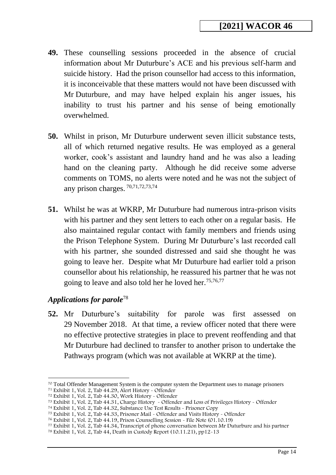- **49.** These counselling sessions proceeded in the absence of crucial information about Mr Duturbure's ACE and his previous self-harm and suicide history. Had the prison counsellor had access to this information, it is inconceivable that these matters would not have been discussed with Mr Duturbure, and may have helped explain his anger issues, his inability to trust his partner and his sense of being emotionally overwhelmed.
- **50.** Whilst in prison, Mr Duturbure underwent seven illicit substance tests, all of which returned negative results. He was employed as a general worker, cook's assistant and laundry hand and he was also a leading hand on the cleaning party. Although he did receive some adverse comments on TOMS, no alerts were noted and he was not the subject of any prison charges. 70,71,72,73,74
- **51.** Whilst he was at WKRP, Mr Duturbure had numerous intra-prison visits with his partner and they sent letters to each other on a regular basis. He also maintained regular contact with family members and friends using the Prison Telephone System. During Mr Duturbure's last recorded call with his partner, she sounded distressed and said she thought he was going to leave her. Despite what Mr Duturbure had earlier told a prison counsellor about his relationship, he reassured his partner that he was not going to leave and also told her he loved her.<sup>75,76,77</sup>

#### <span id="page-13-0"></span>*Applications for parole*<sup>78</sup>

**52.** Mr Duturbure's suitability for parole was first assessed on 29 November 2018. At that time, a review officer noted that there were no effective protective strategies in place to prevent reoffending and that Mr Duturbure had declined to transfer to another prison to undertake the Pathways program (which was not available at WKRP at the time).

<sup>70</sup> Total Offender Management System is the computer system the Department uses to manage prisoners

<sup>71</sup> Exhibit 1, Vol. 2, Tab 44.29, Alert History - Offender

<sup>72</sup> Exhibit 1, Vol. 2, Tab 44.30, Work History - Offender

<sup>73</sup> Exhibit 1, Vol. 2, Tab 44.31, Charge History - Offender and Loss of Privileges History - Offender

<sup>74</sup> Exhibit 1, Vol. 2, Tab 44.32, Substance Use Test Results - Prisoner Copy

<sup>75</sup> Exhibit 1, Vol. 2, Tab 44.33, Prisoner Mail - Offender and Visits History - Offender

<sup>76</sup> Exhibit 1, Vol. 2, Tab 44.19, Prison Counselling Session - File Note (01.10.19)

<sup>77</sup> Exhibit 1, Vol. 2, Tab 44.34, Transcript of phone conversation between Mr Duturbure and his partner

<sup>78</sup> Exhibit 1, Vol. 2, Tab 44, Death in Custody Report (10.11.21), pp12-13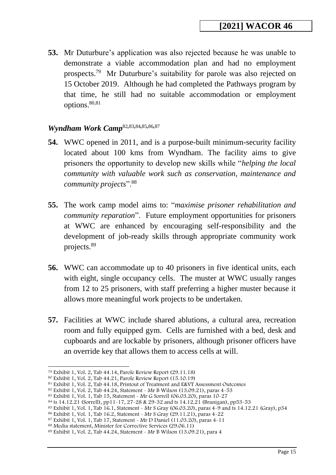**53.** Mr Duturbure's application was also rejected because he was unable to demonstrate a viable accommodation plan and had no employment prospects.<sup>79</sup> Mr Duturbure's suitability for parole was also rejected on 15 October 2019. Although he had completed the Pathways program by that time, he still had no suitable accommodation or employment options. 80,81

#### <span id="page-14-0"></span>*Wyndham Work Camp*<sup>82</sup>*,*83*,*84*,*85*,*86*,*<sup>87</sup>

- **54.** WWC opened in 2011, and is a purpose-built minimum-security facility located about 100 kms from Wyndham. The facility aims to give prisoners the opportunity to develop new skills while "*helping the local community with valuable work such as conservation, maintenance and community projects*".<sup>88</sup>
- **55.** The work camp model aims to: "*maximise prisoner rehabilitation and community reparation*". Future employment opportunities for prisoners at WWC are enhanced by encouraging self-responsibility and the development of job-ready skills through appropriate community work projects.<sup>89</sup>
- **56.** WWC can accommodate up to 40 prisoners in five identical units, each with eight, single occupancy cells. The muster at WWC usually ranges from 12 to 25 prisoners, with staff preferring a higher muster because it allows more meaningful work projects to be undertaken.
- **57.** Facilities at WWC include shared ablutions, a cultural area, recreation room and fully equipped gym. Cells are furnished with a bed, desk and cupboards and are lockable by prisoners, although prisoner officers have an override key that allows them to access cells at will.

<sup>79</sup> Exhibit 1, Vol. 2, Tab 44.14, Parole Review Report (29.11.18)

<sup>80</sup> Exhibit 1, Vol. 2, Tab 44.21, Parole Review Report (15.10.19)

<sup>81</sup> Exhibit 1, Vol. 2, Tab 44.18, Printout of Treatment and E&VT Assessment Outcomes

<sup>82</sup> Exhibit 1, Vol. 2, Tab 44.24, Statement - Mr B Wilson (13.09.21), paras 4-53

<sup>83</sup> Exhibit 1, Vol. 1, Tab 15, Statement - Mr G Sorrell (06.03.20), paras 10-27

<sup>84</sup> ts 14.12.21 (Sorrell), pp11-17, 27-28 & 29-32 and ts 14.12.21 (Branigan), pp53-53

<sup>85</sup> Exhibit 1, Vol. 1, Tab 16.1, Statement - Mr S Gray (06.03.20), paras 4-9 and ts 14.12.21 (Gray), p34

<sup>86</sup> Exhibit 1, Vol. 1, Tab 16.2, Statement - Mr S Gray (29.11.21), paras 4-22

<sup>87</sup> Exhibit 1, Vol. 1, Tab 17, Statement - Mr D Daniel (11.03.20), paras 4-11

<sup>88</sup> Media statement, Minister for Corrective Services (29.06.11)

<sup>89</sup> Exhibit 1, Vol. 2, Tab 44.24, Statement - Mr B Wilson (13.09.21), para 4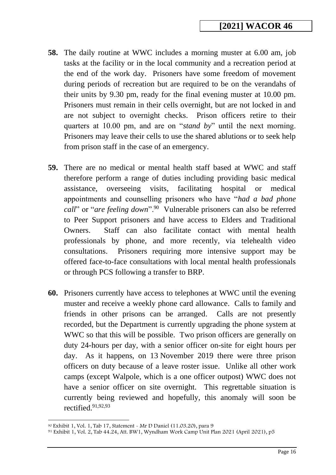- **58.** The daily routine at WWC includes a morning muster at 6.00 am, job tasks at the facility or in the local community and a recreation period at the end of the work day. Prisoners have some freedom of movement during periods of recreation but are required to be on the verandahs of their units by 9.30 pm, ready for the final evening muster at 10.00 pm. Prisoners must remain in their cells overnight, but are not locked in and are not subject to overnight checks. Prison officers retire to their quarters at 10.00 pm, and are on "*stand by*" until the next morning. Prisoners may leave their cells to use the shared ablutions or to seek help from prison staff in the case of an emergency.
- **59.** There are no medical or mental health staff based at WWC and staff therefore perform a range of duties including providing basic medical assistance, overseeing visits, facilitating hospital or medical appointments and counselling prisoners who have "*had a bad phone*  call" or "*are feeling down*".<sup>90</sup> Vulnerable prisoners can also be referred to Peer Support prisoners and have access to Elders and Traditional Owners. Staff can also facilitate contact with mental health professionals by phone, and more recently, via telehealth video consultations. Prisoners requiring more intensive support may be offered face-to-face consultations with local mental health professionals or through PCS following a transfer to BRP.
- **60.** Prisoners currently have access to telephones at WWC until the evening muster and receive a weekly phone card allowance. Calls to family and friends in other prisons can be arranged. Calls are not presently recorded, but the Department is currently upgrading the phone system at WWC so that this will be possible. Two prison officers are generally on duty 24-hours per day, with a senior officer on-site for eight hours per day. As it happens, on 13 November 2019 there were three prison officers on duty because of a leave roster issue. Unlike all other work camps (except Walpole, which is a one officer outpost) WWC does not have a senior officer on site overnight. This regrettable situation is currently being reviewed and hopefully, this anomaly will soon be rectified.91,92,93

<sup>90</sup> Exhibit 1, Vol. 1, Tab 17, Statement - Mr D Daniel (11.03.20), para 9

<sup>91</sup> Exhibit 1, Vol. 2, Tab 44.24, Att. BW1, Wyndham Work Camp Unit Plan 2021 (April 2021), p5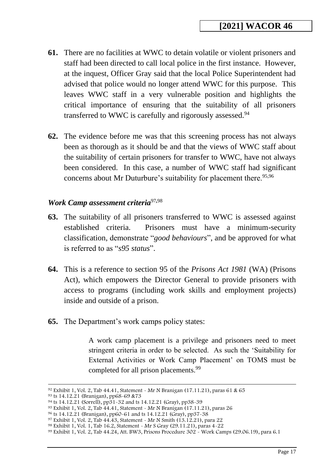- **61.** There are no facilities at WWC to detain volatile or violent prisoners and staff had been directed to call local police in the first instance. However, at the inquest, Officer Gray said that the local Police Superintendent had advised that police would no longer attend WWC for this purpose. This leaves WWC staff in a very vulnerable position and highlights the critical importance of ensuring that the suitability of all prisoners transferred to WWC is carefully and rigorously assessed.<sup>94</sup>
- **62.** The evidence before me was that this screening process has not always been as thorough as it should be and that the views of WWC staff about the suitability of certain prisoners for transfer to WWC, have not always been considered. In this case, a number of WWC staff had significant concerns about Mr Duturbure's suitability for placement there.<sup>95,96</sup>

#### <span id="page-16-0"></span>*Work Camp assessment criteria*<sup>97</sup>*,*<sup>98</sup>

- **63.** The suitability of all prisoners transferred to WWC is assessed against established criteria. Prisoners must have a minimum-security classification, demonstrate "*good behaviours*", and be approved for what is referred to as "*s95 status*".
- **64.** This is a reference to section 95 of the *Prisons Act 1981* (WA) (Prisons Act), which empowers the Director General to provide prisoners with access to programs (including work skills and employment projects) inside and outside of a prison.
- **65.** The Department's work camps policy states:

A work camp placement is a privilege and prisoners need to meet stringent criteria in order to be selected. As such the 'Suitability for External Activities or Work Camp Placement' on TOMS must be completed for all prison placements.<sup>99</sup>

<sup>92</sup> Exhibit 1, Vol. 2, Tab 44.41, Statement - Mr N Branigan (17.11.21), paras 61 & 65

<sup>93</sup> ts 14.12.21 (Branigan), pp68-69 &73

<sup>94</sup> ts 14.12.21 (Sorrell), pp31-32 and ts 14.12.21 (Gray), pp38-39

<sup>95</sup> Exhibit 1, Vol. 2, Tab 44.41, Statement - Mr N Branigan (17.11.21), paras 26

<sup>96</sup> ts 14.12.21 (Branigan), pp60-61 and ts 14.12.21 (Gray), pp37-38

<sup>97</sup> Exhibit 1, Vol. 2, Tab 44.43, Statement - Mr N Smith (13.12.21), para 22

<sup>98</sup> Exhibit 1, Vol. 1, Tab 16.2, Statement - Mr S Gray (29.11.21), paras 4-22

<sup>99</sup> Exhibit 1, Vol. 2, Tab 44.24, Att. BW3, Prisons Procedure 302 - Work Camps (29.06.19), para 6.1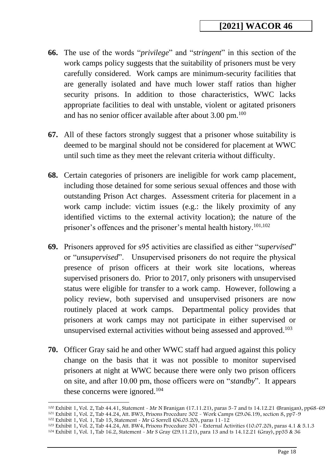- **66.** The use of the words "*privilege*" and "*stringent*" in this section of the work camps policy suggests that the suitability of prisoners must be very carefully considered. Work camps are minimum-security facilities that are generally isolated and have much lower staff ratios than higher security prisons. In addition to those characteristics, WWC lacks appropriate facilities to deal with unstable, violent or agitated prisoners and has no senior officer available after about 3.00 pm.<sup>100</sup>
- **67.** All of these factors strongly suggest that a prisoner whose suitability is deemed to be marginal should not be considered for placement at WWC until such time as they meet the relevant criteria without difficulty.
- **68.** Certain categories of prisoners are ineligible for work camp placement, including those detained for some serious sexual offences and those with outstanding Prison Act charges. Assessment criteria for placement in a work camp include: victim issues (e.g.: the likely proximity of any identified victims to the external activity location); the nature of the prisoner's offences and the prisoner's mental health history.101,102
- **69.** Prisoners approved for s95 activities are classified as either "*supervised*" or "*unsupervised*". Unsupervised prisoners do not require the physical presence of prison officers at their work site locations, whereas supervised prisoners do. Prior to 2017, only prisoners with unsupervised status were eligible for transfer to a work camp. However, following a policy review, both supervised and unsupervised prisoners are now routinely placed at work camps. Departmental policy provides that prisoners at work camps may not participate in either supervised or unsupervised external activities without being assessed and approved.<sup>103</sup>
- **70.** Officer Gray said he and other WWC staff had argued against this policy change on the basis that it was not possible to monitor supervised prisoners at night at WWC because there were only two prison officers on site, and after 10.00 pm, those officers were on "*standby*". It appears these concerns were ignored.<sup>104</sup>

<sup>100</sup> Exhibit 1, Vol. 2, Tab 44.41, Statement - Mr N Branigan (17.11.21), paras 5-7 and ts 14.12.21 (Branigan), pp68-69 <sup>101</sup> Exhibit 1, Vol. 2, Tab 44.24, Att. BW3, Prisons Procedure 302 - Work Camps (29.06.19), section 8, pp7-9

<sup>102</sup> Exhibit 1, Vol. 1, Tab 15, Statement - Mr G Sorrell (06.03.20), paras 11-12

<sup>103</sup> Exhibit 1, Vol. 2, Tab 44.24, Att. BW4, Prisons Procedure 301 - External Activities (10.07.20), paras 4.1 & 5.1.3

<sup>104</sup> Exhibit 1, Vol. 1, Tab 16.2, Statement - Mr S Gray (29.11.21), para 13 and ts 14.12.21 (Gray), pp35 & 36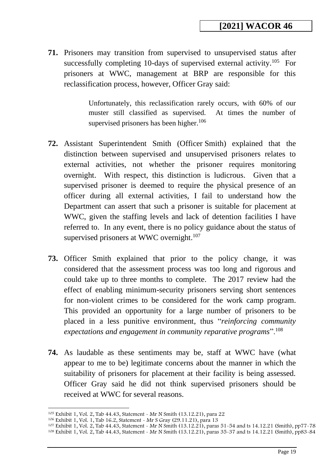**71.** Prisoners may transition from supervised to unsupervised status after successfully completing 10-days of supervised external activity.<sup>105</sup> For prisoners at WWC, management at BRP are responsible for this reclassification process, however, Officer Gray said:

> Unfortunately, this reclassification rarely occurs, with 60% of our muster still classified as supervised. At times the number of supervised prisoners has been higher.<sup>106</sup>

- **72.** Assistant Superintendent Smith (Officer Smith) explained that the distinction between supervised and unsupervised prisoners relates to external activities, not whether the prisoner requires monitoring overnight. With respect, this distinction is ludicrous. Given that a supervised prisoner is deemed to require the physical presence of an officer during all external activities, I fail to understand how the Department can assert that such a prisoner is suitable for placement at WWC, given the staffing levels and lack of detention facilities I have referred to. In any event, there is no policy guidance about the status of supervised prisoners at WWC overnight.<sup>107</sup>
- **73.** Officer Smith explained that prior to the policy change, it was considered that the assessment process was too long and rigorous and could take up to three months to complete. The 2017 review had the effect of enabling minimum-security prisoners serving short sentences for non-violent crimes to be considered for the work camp program. This provided an opportunity for a large number of prisoners to be placed in a less punitive environment, thus "*reinforcing community expectations and engagement in community reparative programs*".<sup>108</sup>
- **74.** As laudable as these sentiments may be, staff at WWC have (what appear to me to be) legitimate concerns about the manner in which the suitability of prisoners for placement at their facility is being assessed. Officer Gray said he did not think supervised prisoners should be received at WWC for several reasons.

<sup>105</sup> Exhibit 1, Vol. 2, Tab 44.43, Statement - Mr N Smith (13.12.21), para 22

<sup>106</sup> Exhibit 1, Vol. 1, Tab 16.2, Statement - Mr S Gray (29.11.21), para 13

<sup>107</sup> Exhibit 1, Vol. 2, Tab 44.43, Statement - Mr N Smith (13.12.21), paras 51-54 and ts 14.12.21 (Smith), pp77-78

<sup>108</sup> Exhibit 1, Vol. 2, Tab 44.43, Statement - Mr N Smith (13.12.21), paras 35-37 and ts 14.12.21 (Smith), pp83-84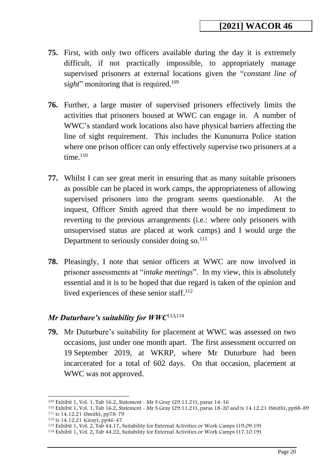- **75.** First, with only two officers available during the day it is extremely difficult, if not practically impossible, to appropriately manage supervised prisoners at external locations given the "*constant line of sight*" monitoring that is required.<sup>109</sup>
- **76.** Further, a large muster of supervised prisoners effectively limits the activities that prisoners housed at WWC can engage in. A number of WWC's standard work locations also have physical barriers affecting the line of sight requirement. This includes the Kununurra Police station where one prison officer can only effectively supervise two prisoners at a time. $110$
- **77.** Whilst I can see great merit in ensuring that as many suitable prisoners as possible can be placed in work camps, the appropriateness of allowing supervised prisoners into the program seems questionable. At the inquest, Officer Smith agreed that there would be no impediment to reverting to the previous arrangements (i.e.: where only prisoners with unsupervised status are placed at work camps) and I would urge the Department to seriously consider doing so.<sup>111</sup>
- **78.** Pleasingly, I note that senior officers at WWC are now involved in prisoner assessments at "*intake meetings*". In my view, this is absolutely essential and it is to be hoped that due regard is taken of the opinion and lived experiences of these senior staff.<sup>112</sup>

## <span id="page-19-0"></span>*Mr Duturbure's suitability for WWC*<sup>113</sup>*,*<sup>114</sup>

**79.** Mr Duturbure's suitability for placement at WWC was assessed on two occasions, just under one month apart. The first assessment occurred on 19 September 2019, at WKRP, where Mr Duturbure had been incarcerated for a total of 602 days. On that occasion, placement at WWC was not approved.

<sup>109</sup> Exhibit 1, Vol. 1, Tab 16.2, Statement - Mr S Gray (29.11.21), paras 14-16

<sup>110</sup> Exhibit 1, Vol. 1, Tab 16.2, Statement - Mr S Gray (29.11.21), paras 18-20 and ts 14.12.21 (Smith), pp88-89 <sup>111</sup> ts 14.12.21 (Smith), pp78-79

<sup>112</sup> ts 14.12.21 (Gray), pp46-47

<sup>113</sup> Exhibit 1, Vol. 2, Tab 44.17, Suitability for External Activities or Work Camps (19.09.19)

<sup>114</sup> Exhibit 1, Vol. 2, Tab 44.22, Suitability for External Activities or Work Camps (17.10.19)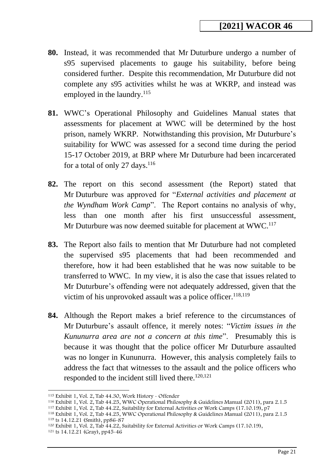- **80.** Instead, it was recommended that Mr Duturbure undergo a number of s95 supervised placements to gauge his suitability, before being considered further. Despite this recommendation, Mr Duturbure did not complete any s95 activities whilst he was at WKRP, and instead was employed in the laundry.<sup>115</sup>
- **81.** WWC's Operational Philosophy and Guidelines Manual states that assessments for placement at WWC will be determined by the host prison, namely WKRP. Notwithstanding this provision, Mr Duturbure's suitability for WWC was assessed for a second time during the period 15-17 October 2019, at BRP where Mr Duturbure had been incarcerated for a total of only 27 days.  $116$
- **82.** The report on this second assessment (the Report) stated that Mr Duturbure was approved for "*External activities and placement at the Wyndham Work Camp*". The Report contains no analysis of why, less than one month after his first unsuccessful assessment, Mr Duturbure was now deemed suitable for placement at WWC.<sup>117</sup>
- **83.** The Report also fails to mention that Mr Duturbure had not completed the supervised s95 placements that had been recommended and therefore, how it had been established that he was now suitable to be transferred to WWC. In my view, it is also the case that issues related to Mr Duturbure's offending were not adequately addressed, given that the victim of his unprovoked assault was a police officer.<sup>118,119</sup>
- **84.** Although the Report makes a brief reference to the circumstances of Mr Duturbure's assault offence, it merely notes: "*Victim issues in the Kununurra area are not a concern at this time*". Presumably this is because it was thought that the police officer Mr Duturbure assaulted was no longer in Kununurra. However, this analysis completely fails to address the fact that witnesses to the assault and the police officers who responded to the incident still lived there.<sup>120,121</sup>

<sup>115</sup> Exhibit 1, Vol. 2, Tab 44.30, Work History - Offender

<sup>116</sup> Exhibit 1, Vol. 2, Tab 44.25, WWC Operational Philosophy & Guidelines Manual (2011), para 2.1.5

<sup>117</sup> Exhibit 1, Vol. 2, Tab 44.22, Suitability for External Activities or Work Camps (17.10.19), p7

<sup>118</sup> Exhibit 1, Vol. 2, Tab 44.25, WWC Operational Philosophy & Guidelines Manual (2011), para 2.1.5

<sup>119</sup> ts 14.12.21 (Smith), pp86-87

<sup>120</sup> Exhibit 1, Vol. 2, Tab 44.22, Suitability for External Activities or Work Camps (17.10.19),

<sup>121</sup> ts 14.12.21 (Gray), pp45-46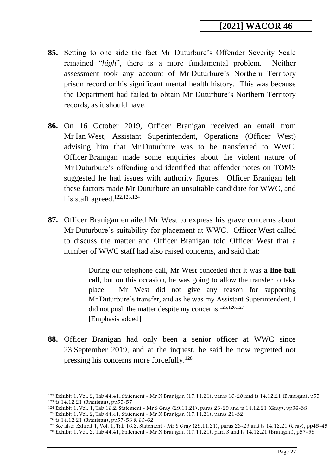- **85.** Setting to one side the fact Mr Duturbure's Offender Severity Scale remained "*high*", there is a more fundamental problem. Neither assessment took any account of Mr Duturbure's Northern Territory prison record or his significant mental health history. This was because the Department had failed to obtain Mr Duturbure's Northern Territory records, as it should have.
- **86.** On 16 October 2019, Officer Branigan received an email from Mr Ian West, Assistant Superintendent, Operations (Officer West) advising him that Mr Duturbure was to be transferred to WWC. Officer Branigan made some enquiries about the violent nature of Mr Duturbure's offending and identified that offender notes on TOMS suggested he had issues with authority figures. Officer Branigan felt these factors made Mr Duturbure an unsuitable candidate for WWC, and his staff agreed.<sup>122,123,124</sup>
- **87.** Officer Branigan emailed Mr West to express his grave concerns about Mr Duturbure's suitability for placement at WWC. Officer West called to discuss the matter and Officer Branigan told Officer West that a number of WWC staff had also raised concerns, and said that:

During our telephone call, Mr West conceded that it was **a line ball call**, but on this occasion, he was going to allow the transfer to take place. Mr West did not give any reason for supporting Mr Duturbure's transfer, and as he was my Assistant Superintendent, I did not push the matter despite my concerns.<sup>125,126,127</sup> [Emphasis added]

**88.** Officer Branigan had only been a senior officer at WWC since 23 September 2019, and at the inquest, he said he now regretted not pressing his concerns more forcefully.<sup>128</sup>

<sup>122</sup> Exhibit 1, Vol. 2, Tab 44.41, Statement - Mr N Branigan (17.11.21), paras 10-20 and ts 14.12.21 (Branigan), p55 <sup>123</sup> ts 14.12.21 (Branigan), pp55-57

<sup>124</sup> Exhibit 1, Vol. 1, Tab 16.2, Statement - Mr S Gray (29.11.21), paras 23-29 and ts 14.12.21 (Gray), pp36-38

<sup>125</sup> Exhibit 1, Vol. 2, Tab 44.41, Statement - Mr N Branigan (17.11.21), paras 21-32

<sup>126</sup> ts 14.12.21 (Branigan), pp57-58 & 60-62

<sup>&</sup>lt;sup>127</sup> See also: Exhibit 1, Vol. 1, Tab 16.2, Statement - Mr S Gray (29.11.21), paras 23-29 and ts 14.12.21 (Gray), pp45-49 <sup>128</sup> Exhibit 1, Vol. 2, Tab 44.41, Statement - Mr N Branigan (17.11.21), para 3 and ts 14.12.21 (Branigan), p57-58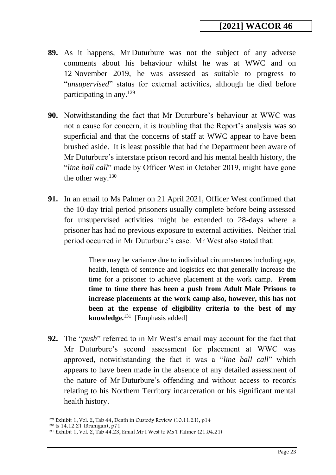- **89.** As it happens, Mr Duturbure was not the subject of any adverse comments about his behaviour whilst he was at WWC and on 12 November 2019, he was assessed as suitable to progress to "*unsupervised*" status for external activities, although he died before participating in any. $129$
- **90.** Notwithstanding the fact that Mr Duturbure's behaviour at WWC was not a cause for concern, it is troubling that the Report's analysis was so superficial and that the concerns of staff at WWC appear to have been brushed aside. It is least possible that had the Department been aware of Mr Duturbure's interstate prison record and his mental health history, the "*line ball call*" made by Officer West in October 2019, might have gone the other way.<sup>130</sup>
- **91.** In an email to Ms Palmer on 21 April 2021, Officer West confirmed that the 10-day trial period prisoners usually complete before being assessed for unsupervised activities might be extended to 28-days where a prisoner has had no previous exposure to external activities. Neither trial period occurred in Mr Duturbure's case. Mr West also stated that:

There may be variance due to individual circumstances including age, health, length of sentence and logistics etc that generally increase the time for a prisoner to achieve placement at the work camp. **From time to time there has been a push from Adult Male Prisons to increase placements at the work camp also, however, this has not been at the expense of eligibility criteria to the best of my knowledge.**<sup>131</sup> [Emphasis added]

**92.** The "*push*" referred to in Mr West's email may account for the fact that Mr Duturbure's second assessment for placement at WWC was approved, notwithstanding the fact it was a "*line ball call*" which appears to have been made in the absence of any detailed assessment of the nature of Mr Duturbure's offending and without access to records relating to his Northern Territory incarceration or his significant mental health history.

<sup>129</sup> Exhibit 1, Vol. 2, Tab 44, Death in Custody Review (10.11.21), p14

<sup>130</sup> ts 14.12.21 (Branigan), p71

<sup>131</sup> Exhibit 1, Vol. 2, Tab 44.23, Email Mr I West to Ms T Palmer (21.04.21)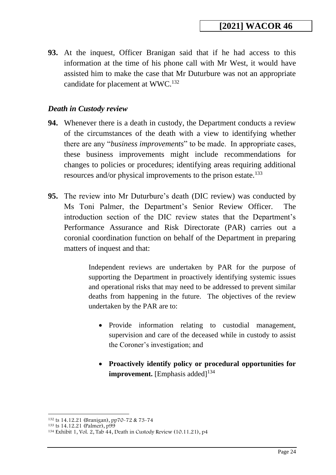**93.** At the inquest, Officer Branigan said that if he had access to this information at the time of his phone call with Mr West, it would have assisted him to make the case that Mr Duturbure was not an appropriate candidate for placement at WWC.<sup>132</sup>

## <span id="page-23-0"></span>*Death in Custody review*

- **94.** Whenever there is a death in custody, the Department conducts a review of the circumstances of the death with a view to identifying whether there are any "*business improvements*" to be made. In appropriate cases, these business improvements might include recommendations for changes to policies or procedures; identifying areas requiring additional resources and/or physical improvements to the prison estate.<sup>133</sup>
- **95.** The review into Mr Duturbure's death (DIC review) was conducted by Ms Toni Palmer, the Department's Senior Review Officer. The introduction section of the DIC review states that the Department's Performance Assurance and Risk Directorate (PAR) carries out a coronial coordination function on behalf of the Department in preparing matters of inquest and that:

Independent reviews are undertaken by PAR for the purpose of supporting the Department in proactively identifying systemic issues and operational risks that may need to be addressed to prevent similar deaths from happening in the future. The objectives of the review undertaken by the PAR are to:

- Provide information relating to custodial management, supervision and care of the deceased while in custody to assist the Coroner's investigation; and
- **Proactively identify policy or procedural opportunities for improvement.** [Emphasis added]<sup>134</sup>

<sup>132</sup> ts 14.12.21 (Branigan), pp70-72 & 73-74

<sup>133</sup> ts 14.12.21 (Palmer), p99

<sup>134</sup> Exhibit 1, Vol. 2, Tab 44, Death in Custody Review (10.11.21), p4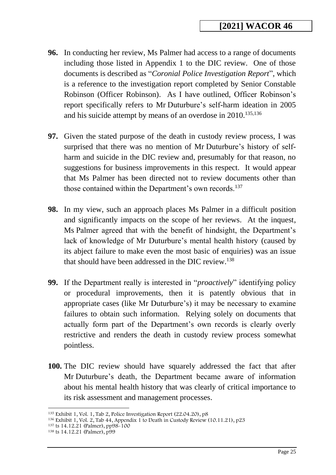- **96.** In conducting her review, Ms Palmer had access to a range of documents including those listed in Appendix 1 to the DIC review. One of those documents is described as "*Coronial Police Investigation Report*", which is a reference to the investigation report completed by Senior Constable Robinson (Officer Robinson). As I have outlined, Officer Robinson's report specifically refers to Mr Duturbure's self-harm ideation in 2005 and his suicide attempt by means of an overdose in 2010.<sup>135,136</sup>
- **97.** Given the stated purpose of the death in custody review process, I was surprised that there was no mention of Mr Duturbure's history of selfharm and suicide in the DIC review and, presumably for that reason, no suggestions for business improvements in this respect. It would appear that Ms Palmer has been directed not to review documents other than those contained within the Department's own records.<sup>137</sup>
- **98.** In my view, such an approach places Ms Palmer in a difficult position and significantly impacts on the scope of her reviews. At the inquest, Ms Palmer agreed that with the benefit of hindsight, the Department's lack of knowledge of Mr Duturbure's mental health history (caused by its abject failure to make even the most basic of enquiries) was an issue that should have been addressed in the DIC review.<sup>138</sup>
- **99.** If the Department really is interested in "*proactively*" identifying policy or procedural improvements, then it is patently obvious that in appropriate cases (like Mr Duturbure's) it may be necessary to examine failures to obtain such information. Relying solely on documents that actually form part of the Department's own records is clearly overly restrictive and renders the death in custody review process somewhat pointless.
- **100.** The DIC review should have squarely addressed the fact that after Mr Duturbure's death, the Department became aware of information about his mental health history that was clearly of critical importance to its risk assessment and management processes.

<sup>&</sup>lt;sup>135</sup> Exhibit 1, Vol. 1, Tab 2, Police Investigation Report (22.04.20), p8

<sup>&</sup>lt;sup>136</sup> Exhibit 1, Vol. 2, Tab 44, Appendix 1 to Death in Custody Review (10.11.21), p23

<sup>137</sup> ts 14.12.21 (Palmer), pp98-100

<sup>138</sup> ts 14.12.21 (Palmer), p99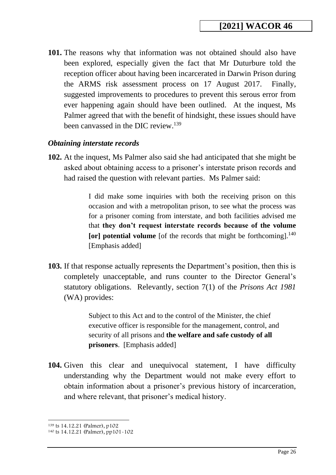**101.** The reasons why that information was not obtained should also have been explored, especially given the fact that Mr Duturbure told the reception officer about having been incarcerated in Darwin Prison during the ARMS risk assessment process on 17 August 2017. Finally, suggested improvements to procedures to prevent this serous error from ever happening again should have been outlined. At the inquest, Ms Palmer agreed that with the benefit of hindsight, these issues should have been canvassed in the DIC review.<sup>139</sup>

#### <span id="page-25-0"></span>*Obtaining interstate records*

**102.** At the inquest, Ms Palmer also said she had anticipated that she might be asked about obtaining access to a prisoner's interstate prison records and had raised the question with relevant parties. Ms Palmer said:

> I did make some inquiries with both the receiving prison on this occasion and with a metropolitan prison, to see what the process was for a prisoner coming from interstate, and both facilities advised me that **they don't request interstate records because of the volume [or] potential volume** [of the records that might be forthcoming]. 140 [Emphasis added]

**103.** If that response actually represents the Department's position, then this is completely unacceptable, and runs counter to the Director General's statutory obligations. Relevantly, section 7(1) of the *Prisons Act 1981* (WA) provides:

> Subject to this Act and to the control of the Minister, the chief executive officer is responsible for the management, control, and security of all prisons and **the welfare and safe custody of all prisoners**. [Emphasis added]

**104.** Given this clear and unequivocal statement, I have difficulty understanding why the Department would not make every effort to obtain information about a prisoner's previous history of incarceration, and where relevant, that prisoner's medical history.

<sup>139</sup> ts 14.12.21 (Palmer), p102

<sup>140</sup> ts 14.12.21 (Palmer), pp101-102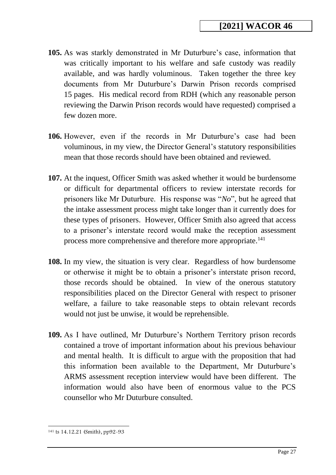- **105.** As was starkly demonstrated in Mr Duturbure's case, information that was critically important to his welfare and safe custody was readily available, and was hardly voluminous. Taken together the three key documents from Mr Duturbure's Darwin Prison records comprised 15 pages. His medical record from RDH (which any reasonable person reviewing the Darwin Prison records would have requested) comprised a few dozen more.
- **106.** However, even if the records in Mr Duturbure's case had been voluminous, in my view, the Director General's statutory responsibilities mean that those records should have been obtained and reviewed.
- **107.** At the inquest, Officer Smith was asked whether it would be burdensome or difficult for departmental officers to review interstate records for prisoners like Mr Duturbure. His response was "*No*", but he agreed that the intake assessment process might take longer than it currently does for these types of prisoners. However, Officer Smith also agreed that access to a prisoner's interstate record would make the reception assessment process more comprehensive and therefore more appropriate.<sup>141</sup>
- **108.** In my view, the situation is very clear. Regardless of how burdensome or otherwise it might be to obtain a prisoner's interstate prison record, those records should be obtained. In view of the onerous statutory responsibilities placed on the Director General with respect to prisoner welfare, a failure to take reasonable steps to obtain relevant records would not just be unwise, it would be reprehensible.
- **109.** As I have outlined, Mr Duturbure's Northern Territory prison records contained a trove of important information about his previous behaviour and mental health. It is difficult to argue with the proposition that had this information been available to the Department, Mr Duturbure's ARMS assessment reception interview would have been different. The information would also have been of enormous value to the PCS counsellor who Mr Duturbure consulted.

<sup>141</sup> ts 14.12.21 (Smith), pp92-93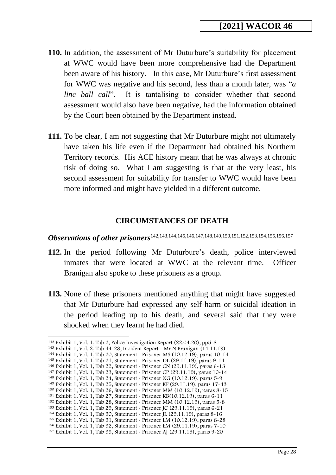- **110.** In addition, the assessment of Mr Duturbure's suitability for placement at WWC would have been more comprehensive had the Department been aware of his history. In this case, Mr Duturbure's first assessment for WWC was negative and his second, less than a month later, was "*a line ball call*". It is tantalising to consider whether that second assessment would also have been negative, had the information obtained by the Court been obtained by the Department instead.
- **111.** To be clear, I am not suggesting that Mr Duturbure might not ultimately have taken his life even if the Department had obtained his Northern Territory records. His ACE history meant that he was always at chronic risk of doing so. What I am suggesting is that at the very least, his second assessment for suitability for transfer to WWC would have been more informed and might have yielded in a different outcome.

#### **CIRCUMSTANCES OF DEATH**

<span id="page-27-1"></span><span id="page-27-0"></span>**Observations of other prisoners**<sup>142,143,144,145,146,147,148,149,150,151,152,153,154,155,156,157</sup>

- **112.** In the period following Mr Duturbure's death, police interviewed inmates that were located at WWC at the relevant time. Officer Branigan also spoke to these prisoners as a group.
- **113.** None of these prisoners mentioned anything that might have suggested that Mr Duturbure had expressed any self-harm or suicidal ideation in the period leading up to his death, and several said that they were shocked when they learnt he had died.

<sup>142</sup> Exhibit 1, Vol. 1, Tab 2, Police Investigation Report (22.04.20), pp5-8

<sup>143</sup> Exhibit 1, Vol. 2, Tab 44-28, Incident Report - Mr N Branigan (14.11.19)

<sup>144</sup> Exhibit 1, Vol. 1, Tab 20, Statement - Prisoner MS (10.12.19), paras 10-14 <sup>145</sup> Exhibit 1, Vol. 1, Tab 21, Statement - Prisoner DL (29.11.19), paras 9-14

<sup>146</sup> Exhibit 1, Vol. 1, Tab 22, Statement - Prisoner CN (29.11.19), paras 6-13

<sup>147</sup> Exhibit 1, Vol. 1, Tab 23, Statement - Prisoner CP (29.11.19), paras 10-14

<sup>148</sup> Exhibit 1, Vol. 1, Tab 24, Statement - Prisoner NG (10.12.19), paras 5-9

<sup>149</sup> Exhibit 1, Vol. 1, Tab 25, Statement - Prisoner KF (29.11.19), paras 17-43

<sup>150</sup> Exhibit 1, Vol. 1, Tab 26, Statement - Prisoner MM (10.12.19), paras 8-15

<sup>151</sup> Exhibit 1, Vol. 1, Tab 27, Statement - Prisoner KB(10.12.19), paras 6-11

<sup>152</sup> Exhibit 1, Vol. 1, Tab 28, Statement - Prisoner MM (10.12.19), paras 5-8

<sup>153</sup> Exhibit 1, Vol. 1, Tab 29, Statement - Prisoner JC (29.11.19), paras 6-21

<sup>154</sup> Exhibit 1, Vol. 1, Tab 30, Statement - Prisoner JL (29.11.19), paras 8-16

<sup>155</sup> Exhibit 1, Vol. 1, Tab 31, Statement - Prisoner LM (10.12.19), paras 8-28 <sup>156</sup> Exhibit 1, Vol. 1, Tab 32, Statement - Prisoner EM (29.11.19), paras 7-10

<sup>157</sup> Exhibit 1, Vol. 1, Tab 33, Statement - Prisoner AJ (29.11.19), paras 9-20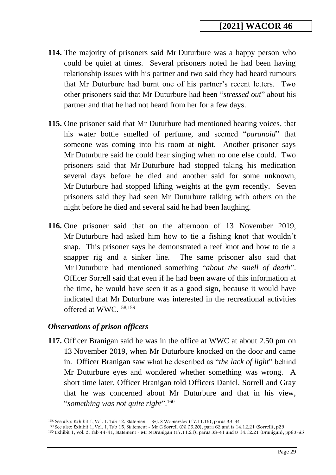- **114.** The majority of prisoners said Mr Duturbure was a happy person who could be quiet at times. Several prisoners noted he had been having relationship issues with his partner and two said they had heard rumours that Mr Duturbure had burnt one of his partner's recent letters. Two other prisoners said that Mr Duturbure had been "*stressed out*" about his partner and that he had not heard from her for a few days.
- **115.** One prisoner said that Mr Duturbure had mentioned hearing voices, that his water bottle smelled of perfume, and seemed "*paranoid*" that someone was coming into his room at night. Another prisoner says Mr Duturbure said he could hear singing when no one else could. Two prisoners said that Mr Duturbure had stopped taking his medication several days before he died and another said for some unknown, Mr Duturbure had stopped lifting weights at the gym recently. Seven prisoners said they had seen Mr Duturbure talking with others on the night before he died and several said he had been laughing.
- **116.** One prisoner said that on the afternoon of 13 November 2019, Mr Duturbure had asked him how to tie a fishing knot that wouldn't snap. This prisoner says he demonstrated a reef knot and how to tie a snapper rig and a sinker line. The same prisoner also said that Mr Duturbure had mentioned something "*about the smell of death*". Officer Sorrell said that even if he had been aware of this information at the time, he would have seen it as a good sign, because it would have indicated that Mr Duturbure was interested in the recreational activities offered at WWC. 158,159

#### <span id="page-28-0"></span>*Observations of prison officers*

**117.** Officer Branigan said he was in the office at WWC at about 2.50 pm on 13 November 2019, when Mr Duturbure knocked on the door and came in. Officer Branigan saw what he described as "*the lack of light*" behind Mr Duturbure eyes and wondered whether something was wrong. A short time later, Officer Branigan told Officers Daniel, Sorrell and Gray that he was concerned about Mr Duturbure and that in his view, "*something was not quite right*".<sup>160</sup>

<sup>158</sup> See also: Exhibit 1, Vol. 1, Tab 12, Statement - Sgt. S Womersley (17.11.19), paras 33-34

<sup>159</sup> See also: Exhibit 1, Vol. 1, Tab 15, Statement - Mr G Sorrell (06.03.20), para 62 and ts 14.12.21 (Sorrell), p29

<sup>160</sup> Exhibit 1, Vol. 2, Tab 44-41, Statement - Mr N Branigan (17.11.21), paras 38-41 and ts 14.12.21 (Branigan), pp63-65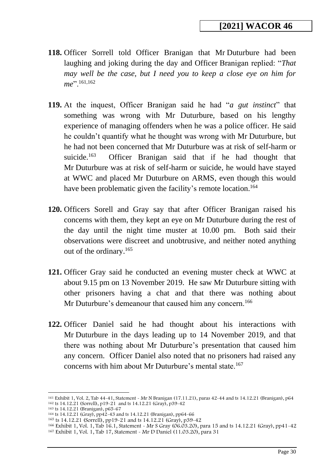- **118.** Officer Sorrell told Officer Branigan that Mr Duturbure had been laughing and joking during the day and Officer Branigan replied: "*That may well be the case, but I need you to keep a close eye on him for me*".161,162
- **119.** At the inquest, Officer Branigan said he had "*a gut instinct*" that something was wrong with Mr Duturbure, based on his lengthy experience of managing offenders when he was a police officer. He said he couldn't quantify what he thought was wrong with Mr Duturbure, but he had not been concerned that Mr Duturbure was at risk of self-harm or suicide. $163$  Officer Branigan said that if he had thought that Mr Duturbure was at risk of self-harm or suicide, he would have stayed at WWC and placed Mr Duturbure on ARMS, even though this would have been problematic given the facility's remote location.<sup>164</sup>
- **120.** Officers Sorell and Gray say that after Officer Branigan raised his concerns with them, they kept an eye on Mr Duturbure during the rest of the day until the night time muster at 10.00 pm. Both said their observations were discreet and unobtrusive, and neither noted anything out of the ordinary.<sup>165</sup>
- **121.** Officer Gray said he conducted an evening muster check at WWC at about 9.15 pm on 13 November 2019. He saw Mr Duturbure sitting with other prisoners having a chat and that there was nothing about Mr Duturbure's demeanour that caused him any concern.<sup>166</sup>
- **122.** Officer Daniel said he had thought about his interactions with Mr Duturbure in the days leading up to 14 November 2019, and that there was nothing about Mr Duturbure's presentation that caused him any concern. Officer Daniel also noted that no prisoners had raised any concerns with him about Mr Duturbure's mental state.<sup>167</sup>

<sup>161</sup> Exhibit 1, Vol. 2, Tab 44-41, Statement - Mr N Branigan (17.11.21), paras 42-44 and ts 14.12.21 (Branigan), p64 <sup>162</sup> ts 14.12.21 (Sorrell), p19-21 and ts 14.12.21 (Gray), p39-42

<sup>163</sup> ts 14.12.21 (Branigan), p65-67

<sup>164</sup> ts 14.12.21 (Gray), pp42-43 and ts 14.12.21 (Branigan), pp64-66

<sup>165</sup> ts 14.12.21 (Sorrell), pp19-21 and ts 14.12.21 (Gray), p39-42

<sup>166</sup> Exhibit 1, Vol. 1, Tab 16.1, Statement - Mr S Gray (06.03.20), para 15 and ts 14.12.21 (Gray), pp41-42 <sup>167</sup> Exhibit 1, Vol. 1, Tab 17, Statement - Mr D Daniel (11.03.20), para 31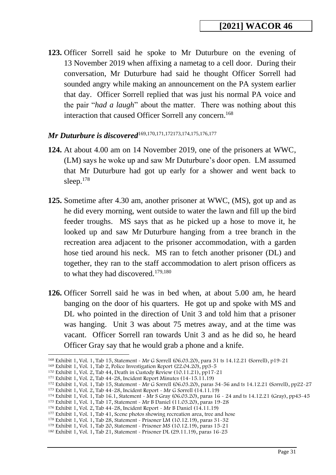**123.** Officer Sorrell said he spoke to Mr Duturbure on the evening of 13 November 2019 when affixing a nametag to a cell door. During their conversation, Mr Duturbure had said he thought Officer Sorrell had sounded angry while making an announcement on the PA system earlier that day. Officer Sorrell replied that was just his normal PA voice and the pair "*had a laugh*" about the matter. There was nothing about this interaction that caused Officer Sorrell any concern.<sup>168</sup>

# <span id="page-30-0"></span>*Mr Duturbure is discovered*<sup>169,170,171,172173,174,175,176,177</sup>

- **124.** At about 4.00 am on 14 November 2019, one of the prisoners at WWC, (LM) says he woke up and saw Mr Duturbure's door open. LM assumed that Mr Duturbure had got up early for a shower and went back to sleep. $178$
- **125.** Sometime after 4.30 am, another prisoner at WWC, (MS), got up and as he did every morning, went outside to water the lawn and fill up the bird feeder troughs. MS says that as he picked up a hose to move it, he looked up and saw Mr Duturbure hanging from a tree branch in the recreation area adjacent to the prisoner accommodation, with a garden hose tied around his neck. MS ran to fetch another prisoner (DL) and together, they ran to the staff accommodation to alert prison officers as to what they had discovered.<sup>179,180</sup>
- **126.** Officer Sorrell said he was in bed when, at about 5.00 am, he heard banging on the door of his quarters. He got up and spoke with MS and DL who pointed in the direction of Unit 3 and told him that a prisoner was hanging. Unit 3 was about 75 metres away, and at the time was vacant. Officer Sorrell ran towards Unit 3 and as he did so, he heard Officer Gray say that he would grab a phone and a knife.

<sup>168</sup> Exhibit 1, Vol. 1, Tab 15, Statement - Mr G Sorrell (06.03.20), para 31 ts 14.12.21 (Sorrell), p19-21

<sup>169</sup> Exhibit 1, Vol. 1, Tab 2, Police Investigation Report (22.04.20), pp3-5

<sup>170</sup> Exhibit 1, Vol. 2, Tab 44, Death in Custody Review (10.11.21), pp17-21

<sup>171</sup> Exhibit 1, Vol. 2, Tab 44-28, Incident Report Minutes (14-15.11.19)

<sup>172</sup> Exhibit 1, Vol. 1, Tab 15, Statement - Mr G Sorrell (06.03.20), paras 34-56 and ts 14.12.21 (Sorrell), pp22-27

<sup>173</sup> Exhibit 1, Vol. 2, Tab 44-28, Incident Report - Mr G Sorrell (14.11.19)

<sup>174</sup> Exhibit 1, Vol. 1, Tab 16.1, Statement - Mr S Gray (06.03.20), paras 16 - 24 and ts 14.12.21 (Gray), pp43-45

<sup>175</sup> Exhibit 1, Vol. 1, Tab 17, Statement - Mr B Daniel (11.03.20), paras 19-28

<sup>176</sup> Exhibit 1, Vol. 2, Tab 44-28, Incident Report - Mr B Daniel (14.11.19)

<sup>&</sup>lt;sup>177</sup> Exhibit 1, Vol. 1, Tab 41, Scene photos showing recreation area, tree and hose

<sup>178</sup> Exhibit 1, Vol. 1, Tab 28, Statement - Prisoner LM (10.12.19), paras 31-32

<sup>179</sup> Exhibit 1, Vol. 1, Tab 20, Statement - Prisoner MS (10.12.19), paras 15-21

<sup>180</sup> Exhibit 1, Vol. 1, Tab 21, Statement - Prisoner DL (29.11.19), paras 16-25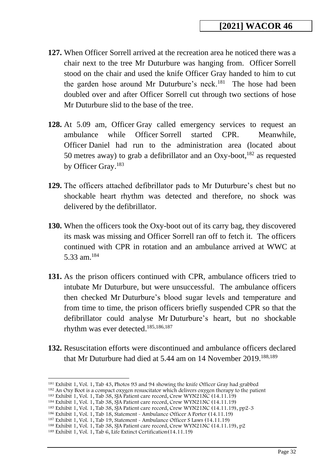- **127.** When Officer Sorrell arrived at the recreation area he noticed there was a chair next to the tree Mr Duturbure was hanging from. Officer Sorrell stood on the chair and used the knife Officer Gray handed to him to cut the garden hose around Mr Duturbure's neck.<sup>181</sup> The hose had been doubled over and after Officer Sorrell cut through two sections of hose Mr Duturbure slid to the base of the tree.
- **128.** At 5.09 am, Officer Gray called emergency services to request an ambulance while Officer Sorrell started CPR. Meanwhile, Officer Daniel had run to the administration area (located about 50 metres away) to grab a defibrillator and an Oxy-boot,<sup>182</sup> as requested by Officer Gray. 183
- **129.** The officers attached defibrillator pads to Mr Duturbure's chest but no shockable heart rhythm was detected and therefore, no shock was delivered by the defibrillator.
- **130.** When the officers took the Oxy-boot out of its carry bag, they discovered its mask was missing and Officer Sorrell ran off to fetch it. The officers continued with CPR in rotation and an ambulance arrived at WWC at 5.33 am.<sup>184</sup>
- **131.** As the prison officers continued with CPR, ambulance officers tried to intubate Mr Duturbure, but were unsuccessful. The ambulance officers then checked Mr Duturbure's blood sugar levels and temperature and from time to time, the prison officers briefly suspended CPR so that the defibrillator could analyse Mr Duturbure's heart, but no shockable rhythm was ever detected. 185,186,187
- **132.** Resuscitation efforts were discontinued and ambulance officers declared that Mr Duturbure had died at 5.44 am on 14 November 2019.<sup>188,189</sup>

<sup>181</sup> Exhibit 1, Vol. 1, Tab 43, Photos 93 and 94 showing the knife Officer Gray had grabbed

<sup>&</sup>lt;sup>182</sup> An Oxy Boot is a compact oxygen resuscitator which delivers oxygen therapy to the patient

<sup>183</sup> Exhibit 1, Vol. 1, Tab 38, SJA Patient care record, Crew WYN21NC (14.11.19)

<sup>184</sup> Exhibit 1, Vol. 1, Tab 38, SJA Patient care record, Crew WYN21NC (14.11.19)

<sup>185</sup> Exhibit 1, Vol. 1, Tab 38, SJA Patient care record, Crew WYN21NC (14.11.19), pp2-3

<sup>186</sup> Exhibit 1, Vol. 1, Tab 18, Statement - Ambulance Officer A Porter (14.11.19)

<sup>187</sup> Exhibit 1, Vol. 1, Tab 19, Statement - Ambulance Officer S Laws (14.11.19)

<sup>188</sup> Exhibit 1, Vol. 1, Tab 38, SJA Patient care record, Crew WYN21NC (14.11.19), p2

<sup>189</sup> Exhibit 1, Vol. 1, Tab 6, Life Extinct Certification(14.11.19)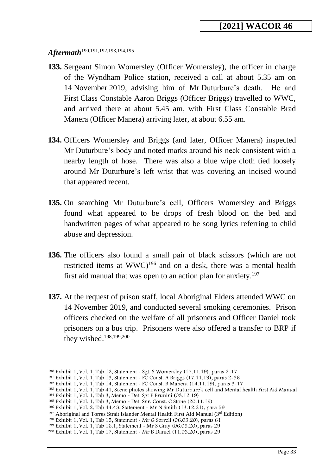# <span id="page-32-0"></span>*Aftermath*190,191,192,193,194,195

- **133.** Sergeant Simon Womersley (Officer Womersley), the officer in charge of the Wyndham Police station, received a call at about 5.35 am on 14 November 2019, advising him of Mr Duturbure's death. He and First Class Constable Aaron Briggs (Officer Briggs) travelled to WWC, and arrived there at about 5.45 am, with First Class Constable Brad Manera (Officer Manera) arriving later, at about 6.55 am.
- **134.** Officers Womersley and Briggs (and later, Officer Manera) inspected Mr Duturbure's body and noted marks around his neck consistent with a nearby length of hose. There was also a blue wipe cloth tied loosely around Mr Duturbure's left wrist that was covering an incised wound that appeared recent.
- **135.** On searching Mr Duturbure's cell, Officers Womersley and Briggs found what appeared to be drops of fresh blood on the bed and handwritten pages of what appeared to be song lyrics referring to child abuse and depression.
- **136.** The officers also found a small pair of black scissors (which are not restricted items at WWC)<sup>196</sup> and on a desk, there was a mental health first aid manual that was open to an action plan for anxiety.<sup>197</sup>
- **137.** At the request of prison staff, local Aboriginal Elders attended WWC on 14 November 2019, and conducted several smoking ceremonies. Prison officers checked on the welfare of all prisoners and Officer Daniel took prisoners on a bus trip. Prisoners were also offered a transfer to BRP if they wished.<sup>198,199,200</sup>

<sup>190</sup> Exhibit 1, Vol. 1, Tab 12, Statement - Sgt. S Womersley (17.11.19), paras 2-17

<sup>191</sup> Exhibit 1, Vol. 1, Tab 13, Statement - FC Const. A Briggs (17.11.19), paras 2-36

<sup>192</sup> Exhibit 1, Vol. 1, Tab 14, Statement - FC Const. B Manera (14.11.19), paras 3-17

<sup>193</sup> Exhibit 1, Vol. 1, Tab 41, Scene photos showing Mr Duturbure's cell and Mental health First Aid Manual

<sup>194</sup> Exhibit 1, Vol. 1, Tab 3, Memo - Det. Sgt P Brunini (03.12.19)

<sup>195</sup> Exhibit 1, Vol. 1, Tab 3, Memo - Det. Snr. Const. C Stone (20.11.19)

<sup>196</sup> Exhibit 1, Vol. 2, Tab 44.43, Statement - Mr N Smith (13.12.21), para 59

<sup>&</sup>lt;sup>197</sup> Aboriginal and Torres Strait Islander Mental Health First Aid Manual ( $3<sup>rd</sup>$  Edition)

<sup>198</sup> Exhibit 1, Vol. 1, Tab 15, Statement - Mr G Sorrell (06.03.20), paras 61

<sup>199</sup> Exhibit 1, Vol. 1, Tab 16.1, Statement - Mr S Gray (06.03.20), paras 29 <sup>200</sup> Exhibit 1, Vol. 1, Tab 17, Statement - Mr B Daniel (11.03.20), paras 29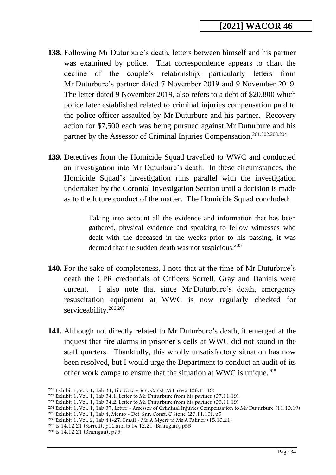- **138.** Following Mr Duturbure's death, letters between himself and his partner was examined by police. That correspondence appears to chart the decline of the couple's relationship, particularly letters from Mr Duturbure's partner dated 7 November 2019 and 9 November 2019. The letter dated 9 November 2019, also refers to a debt of \$20,800 which police later established related to criminal injuries compensation paid to the police officer assaulted by Mr Duturbure and his partner. Recovery action for \$7,500 each was being pursued against Mr Duturbure and his partner by the Assessor of Criminal Injuries Compensation. 201,202,203,204
- **139.** Detectives from the Homicide Squad travelled to WWC and conducted an investigation into Mr Duturbure's death. In these circumstances, the Homicide Squad's investigation runs parallel with the investigation undertaken by the Coronial Investigation Section until a decision is made as to the future conduct of the matter. The Homicide Squad concluded:

Taking into account all the evidence and information that has been gathered, physical evidence and speaking to fellow witnesses who dealt with the deceased in the weeks prior to his passing, it was deemed that the sudden death was not suspicious.<sup>205</sup>

- **140.** For the sake of completeness, I note that at the time of Mr Duturbure's death the CPR credentials of Officers Sorrell, Gray and Daniels were current. I also note that since Mr Duturbure's death, emergency resuscitation equipment at WWC is now regularly checked for serviceability.<sup>206,207</sup>
- **141.** Although not directly related to Mr Duturbure's death, it emerged at the inquest that fire alarms in prisoner's cells at WWC did not sound in the staff quarters. Thankfully, this wholly unsatisfactory situation has now been resolved, but I would urge the Department to conduct an audit of its other work camps to ensure that the situation at WWC is unique.<sup>208</sup>

<sup>201</sup> Exhibit 1, Vol. 1, Tab 34, File Note - Sen. Const. M Purver (26.11.19)

 $202$  Exhibit 1, Vol. 1, Tab 34.1, Letter to Mr Duturbure from his partner (07.11.19)

<sup>203</sup> Exhibit 1, Vol. 1, Tab 34.2, Letter to Mr Duturbure from his partner (09.11.19)

<sup>204</sup> Exhibit 1, Vol. 1, Tab 37, Letter - Assessor of Criminal Injuries Compensation to Mr Duturbure (11.10.19)

<sup>&</sup>lt;sup>205</sup> Exhibit 1, Vol. 1, Tab 4, Memo - Det. Snr. Const. C Stone  $(20.11.19)$ , p5

<sup>&</sup>lt;sup>206</sup> Exhibit 1, Vol. 2, Tab  $44-27$ , Email - Mr A Myers to Ms A Palmer (15.10.21)

<sup>207</sup> ts 14.12.21 (Sorrell), p16 and ts 14.12.21 (Branigan), p55

<sup>208</sup> ts 14.12.21 (Branigan), p75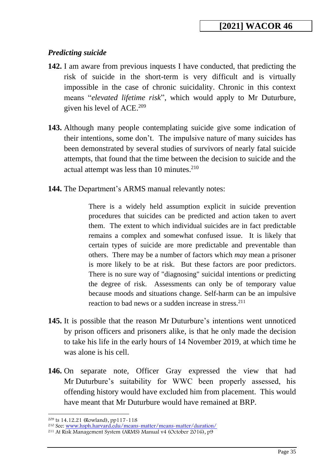# *Predicting suicide*

- **142.** I am aware from previous inquests I have conducted, that predicting the risk of suicide in the short-term is very difficult and is virtually impossible in the case of chronic suicidality. Chronic in this context means "*elevated lifetime risk*", which would apply to Mr Duturbure, given his level of ACE. 209
- **143.** Although many people contemplating suicide give some indication of their intentions, some don't. The impulsive nature of many suicides has been demonstrated by several studies of survivors of nearly fatal suicide attempts, that found that the time between the decision to suicide and the actual attempt was less than 10 minutes.<sup>210</sup>
- **144.** The Department's ARMS manual relevantly notes:

There is a widely held assumption explicit in suicide prevention procedures that suicides can be predicted and action taken to avert them. The extent to which individual suicides are in fact predictable remains a complex and somewhat confused issue. It is likely that certain types of suicide are more predictable and preventable than others. There may be a number of factors which *may* mean a prisoner is more likely to be at risk. But these factors are poor predictors. There is no sure way of "diagnosing" suicidal intentions or predicting the degree of risk. Assessments can only be of temporary value because moods and situations change. Self-harm can be an impulsive reaction to bad news or a sudden increase in stress. 211

- **145.** It is possible that the reason Mr Duturbure's intentions went unnoticed by prison officers and prisoners alike, is that he only made the decision to take his life in the early hours of 14 November 2019, at which time he was alone is his cell.
- **146.** On separate note, Officer Gray expressed the view that had Mr Duturbure's suitability for WWC been properly assessed, his offending history would have excluded him from placement. This would have meant that Mr Duturbure would have remained at BRP.

<sup>209</sup> ts 14.12.21 (Rowland), pp117-118

<sup>210</sup> See: [www.hsph.harvard.edu/means-matter/means-matter/duration/](http://www.hsph.harvard.edu/means-matter/means-matter/duration/)

<sup>211</sup> At Risk Management System (ARMS) Manual v4 (October 2016), p9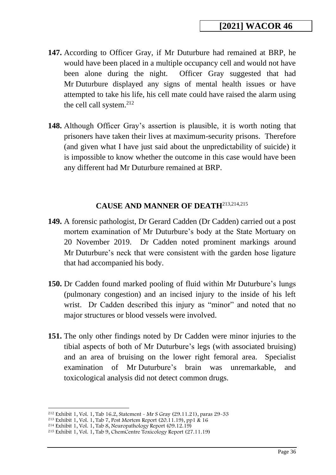- **147.** According to Officer Gray, if Mr Duturbure had remained at BRP, he would have been placed in a multiple occupancy cell and would not have been alone during the night. Officer Gray suggested that had Mr Duturbure displayed any signs of mental health issues or have attempted to take his life, his cell mate could have raised the alarm using the cell call system.<sup>212</sup>
- **148.** Although Officer Gray's assertion is plausible, it is worth noting that prisoners have taken their lives at maximum-security prisons. Therefore (and given what I have just said about the unpredictability of suicide) it is impossible to know whether the outcome in this case would have been any different had Mr Duturbure remained at BRP.

### **CAUSE AND MANNER OF DEATH**213,214,215

- <span id="page-35-0"></span>**149.** A forensic pathologist, Dr Gerard Cadden (Dr Cadden) carried out a post mortem examination of Mr Duturbure's body at the State Mortuary on 20 November 2019. Dr Cadden noted prominent markings around Mr Duturbure's neck that were consistent with the garden hose ligature that had accompanied his body.
- **150.** Dr Cadden found marked pooling of fluid within Mr Duturbure's lungs (pulmonary congestion) and an incised injury to the inside of his left wrist. Dr Cadden described this injury as "minor" and noted that no major structures or blood vessels were involved.
- **151.** The only other findings noted by Dr Cadden were minor injuries to the tibial aspects of both of Mr Duturbure's legs (with associated bruising) and an area of bruising on the lower right femoral area. Specialist examination of Mr Duturbure's brain was unremarkable, and toxicological analysis did not detect common drugs.

<sup>212</sup> Exhibit 1, Vol. 1, Tab 16.2, Statement - Mr S Gray (29.11.21), paras 29-33

<sup>213</sup> Exhibit 1, Vol. 1, Tab 7, Post Mortem Report (20.11.19), pp1 & 16

<sup>214</sup> Exhibit 1, Vol. 1, Tab 8, Neuropathology Report (09.12.19)

<sup>215</sup> Exhibit 1, Vol. 1, Tab 9, ChemCentre Toxicology Report (27.11.19)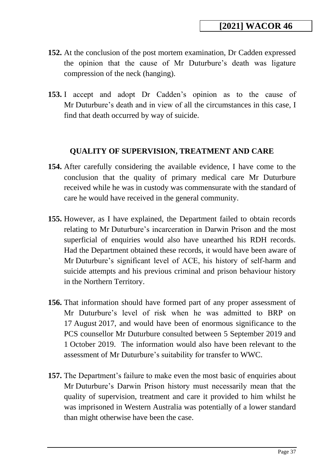- **152.** At the conclusion of the post mortem examination, Dr Cadden expressed the opinion that the cause of Mr Duturbure's death was ligature compression of the neck (hanging).
- **153.** I accept and adopt Dr Cadden's opinion as to the cause of Mr Duturbure's death and in view of all the circumstances in this case, I find that death occurred by way of suicide.

## **QUALITY OF SUPERVISION, TREATMENT AND CARE**

- <span id="page-36-0"></span>**154.** After carefully considering the available evidence, I have come to the conclusion that the quality of primary medical care Mr Duturbure received while he was in custody was commensurate with the standard of care he would have received in the general community.
- **155.** However, as I have explained, the Department failed to obtain records relating to Mr Duturbure's incarceration in Darwin Prison and the most superficial of enquiries would also have unearthed his RDH records. Had the Department obtained these records, it would have been aware of Mr Duturbure's significant level of ACE, his history of self-harm and suicide attempts and his previous criminal and prison behaviour history in the Northern Territory.
- **156.** That information should have formed part of any proper assessment of Mr Duturbure's level of risk when he was admitted to BRP on 17 August 2017, and would have been of enormous significance to the PCS counsellor Mr Duturbure consulted between 5 September 2019 and 1 October 2019. The information would also have been relevant to the assessment of Mr Duturbure's suitability for transfer to WWC.
- **157.** The Department's failure to make even the most basic of enquiries about Mr Duturbure's Darwin Prison history must necessarily mean that the quality of supervision, treatment and care it provided to him whilst he was imprisoned in Western Australia was potentially of a lower standard than might otherwise have been the case.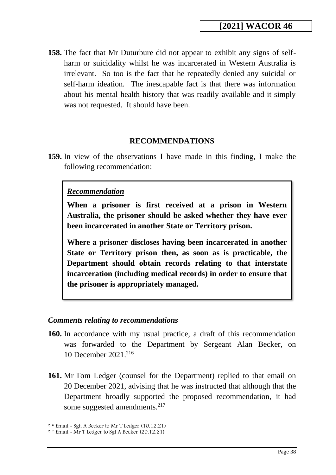**158.** The fact that Mr Duturbure did not appear to exhibit any signs of selfharm or suicidality whilst he was incarcerated in Western Australia is irrelevant. So too is the fact that he repeatedly denied any suicidal or self-harm ideation. The inescapable fact is that there was information about his mental health history that was readily available and it simply was not requested. It should have been.

#### **RECOMMENDATIONS**

<span id="page-37-0"></span>**159.** In view of the observations I have made in this finding, I make the following recommendation:

#### *Recommendation*

**When a prisoner is first received at a prison in Western Australia, the prisoner should be asked whether they have ever been incarcerated in another State or Territory prison.**

**Where a prisoner discloses having been incarcerated in another State or Territory prison then, as soon as is practicable, the Department should obtain records relating to that interstate incarceration (including medical records) in order to ensure that the prisoner is appropriately managed.**

#### <span id="page-37-1"></span>*Comments relating to recommendations*

- **160.** In accordance with my usual practice, a draft of this recommendation was forwarded to the Department by Sergeant Alan Becker, on 10 December 2021.<sup>216</sup>
- **161.** Mr Tom Ledger (counsel for the Department) replied to that email on 20 December 2021, advising that he was instructed that although that the Department broadly supported the proposed recommendation, it had some suggested amendments.<sup>217</sup>

 $216$  Email - Sgt. A Becker to Mr T Ledger (10.12.21)

<sup>217</sup> Email - Mr T Ledger to Sgt A Becker (20.12.21)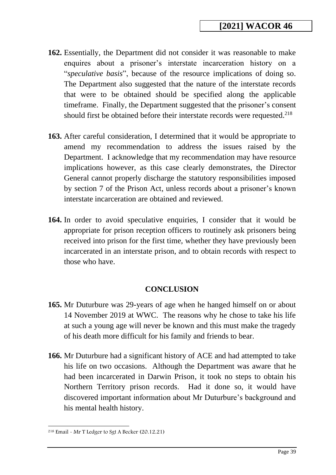- **162.** Essentially, the Department did not consider it was reasonable to make enquires about a prisoner's interstate incarceration history on a "*speculative basis*", because of the resource implications of doing so. The Department also suggested that the nature of the interstate records that were to be obtained should be specified along the applicable timeframe. Finally, the Department suggested that the prisoner's consent should first be obtained before their interstate records were requested.<sup>218</sup>
- **163.** After careful consideration, I determined that it would be appropriate to amend my recommendation to address the issues raised by the Department. I acknowledge that my recommendation may have resource implications however, as this case clearly demonstrates, the Director General cannot properly discharge the statutory responsibilities imposed by section 7 of the Prison Act, unless records about a prisoner's known interstate incarceration are obtained and reviewed.
- **164.** In order to avoid speculative enquiries, I consider that it would be appropriate for prison reception officers to routinely ask prisoners being received into prison for the first time, whether they have previously been incarcerated in an interstate prison, and to obtain records with respect to those who have.

## **CONCLUSION**

- <span id="page-38-0"></span>**165.** Mr Duturbure was 29-years of age when he hanged himself on or about 14 November 2019 at WWC. The reasons why he chose to take his life at such a young age will never be known and this must make the tragedy of his death more difficult for his family and friends to bear.
- **166.** Mr Duturbure had a significant history of ACE and had attempted to take his life on two occasions. Although the Department was aware that he had been incarcerated in Darwin Prison, it took no steps to obtain his Northern Territory prison records. Had it done so, it would have discovered important information about Mr Duturbure's background and his mental health history.

<sup>218</sup> Email - Mr T Ledger to Sgt A Becker (20.12.21)